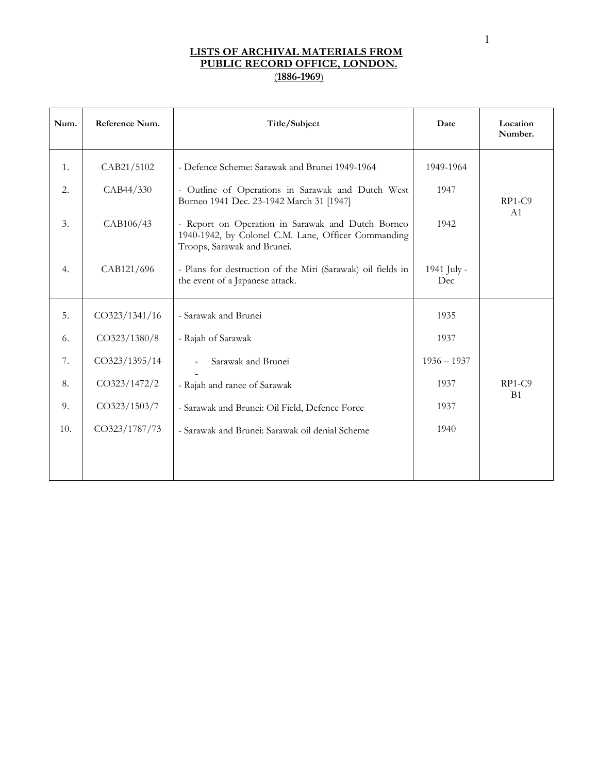| Num. | Reference Num. | Title/Subject                                                                                                                           | Date               | Location<br>Number. |
|------|----------------|-----------------------------------------------------------------------------------------------------------------------------------------|--------------------|---------------------|
| 1.   | CAB21/5102     | - Defence Scheme: Sarawak and Brunei 1949-1964                                                                                          | 1949-1964          |                     |
| 2.   | CAB44/330      | - Outline of Operations in Sarawak and Dutch West<br>Borneo 1941 Dec. 23-1942 March 31 [1947]                                           | 1947               | $RP1-C9$            |
| 3.   | CAB106/43      | - Report on Operation in Sarawak and Dutch Borneo<br>1940-1942, by Colonel C.M. Lane, Officer Commanding<br>Troops, Sarawak and Brunei. | 1942               | A <sub>1</sub>      |
| 4.   | CAB121/696     | - Plans for destruction of the Miri (Sarawak) oil fields in<br>the event of a Japanese attack.                                          | 1941 July -<br>Dec |                     |
| 5.   | CO323/1341/16  | - Sarawak and Brunei                                                                                                                    | 1935               |                     |
| 6.   | CO323/1380/8   | - Rajah of Sarawak                                                                                                                      | 1937               |                     |
| 7.   | CO323/1395/14  | Sarawak and Brunei                                                                                                                      | $1936 - 1937$      |                     |
| 8.   | CO323/1472/2   | - Rajah and ranee of Sarawak                                                                                                            | 1937               | $RP1-C9$            |
| 9.   | CO323/1503/7   | - Sarawak and Brunei: Oil Field, Defence Force                                                                                          | 1937               | B <sub>1</sub>      |
| 10.  | CO323/1787/73  | - Sarawak and Brunei: Sarawak oil denial Scheme                                                                                         | 1940               |                     |
|      |                |                                                                                                                                         |                    |                     |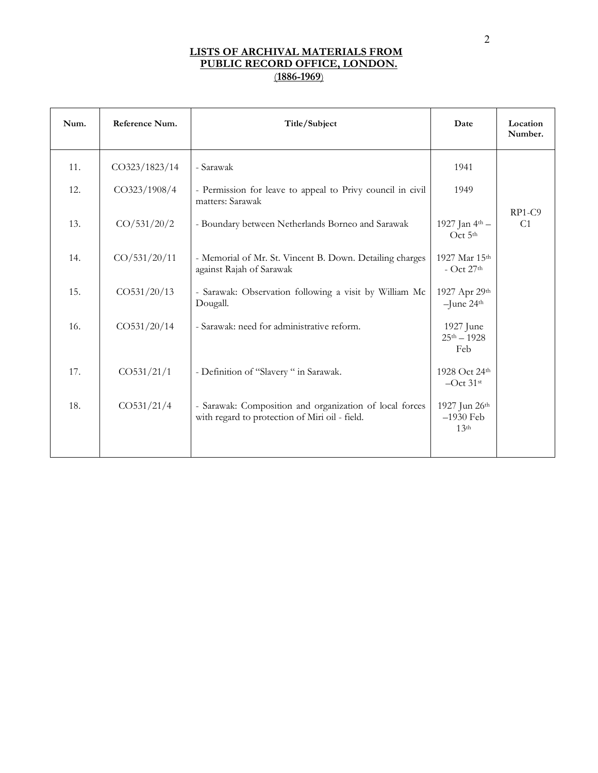| Num. | Reference Num. | Title/Subject                                                                                             | Date                                             | Location<br>Number.        |
|------|----------------|-----------------------------------------------------------------------------------------------------------|--------------------------------------------------|----------------------------|
| 11.  | CO323/1823/14  | - Sarawak                                                                                                 | 1941                                             |                            |
| 12.  | CO323/1908/4   | - Permission for leave to appeal to Privy council in civil<br>matters: Sarawak                            | 1949                                             |                            |
| 13.  | CO/531/20/2    | - Boundary between Netherlands Borneo and Sarawak                                                         | 1927 Jan 4th -<br>Oct 5th                        | $RP1-C9$<br>C <sub>1</sub> |
| 14.  | CO/531/20/11   | - Memorial of Mr. St. Vincent B. Down. Detailing charges<br>against Rajah of Sarawak                      | 1927 Mar 15th<br>- Oct $27th$                    |                            |
| 15.  | CO531/20/13    | - Sarawak: Observation following a visit by William Mc<br>Dougall.                                        | 1927 Apr 29th<br>$-$ June 24 <sup>th</sup>       |                            |
| 16.  | CO531/20/14    | - Sarawak: need for administrative reform.                                                                | 1927 June<br>$25^{th} - 1928$<br>Feb             |                            |
| 17.  | CO531/21/1     | - Definition of "Slavery" in Sarawak.                                                                     | 1928 Oct 24th<br>$-Oct$ 31st                     |                            |
| 18.  | CO531/21/4     | - Sarawak: Composition and organization of local forces<br>with regard to protection of Miri oil - field. | 1927 Jun 26th<br>$-1930$ Feb<br>13 <sup>th</sup> |                            |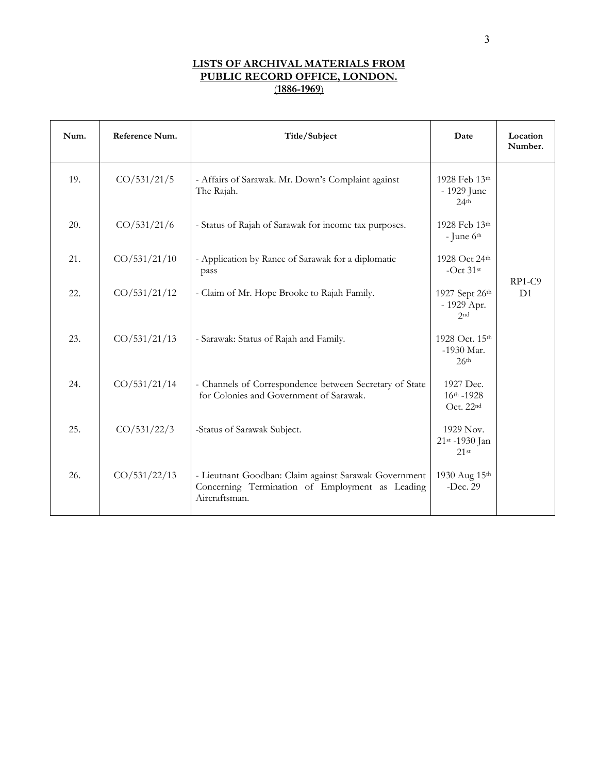| Num. | Reference Num. | Title/Subject                                                                                                             | Date                                             | Location<br>Number. |
|------|----------------|---------------------------------------------------------------------------------------------------------------------------|--------------------------------------------------|---------------------|
| 19.  | CO/531/21/5    | - Affairs of Sarawak. Mr. Down's Complaint against<br>The Rajah.                                                          | 1928 Feb 13th<br>- 1929 June<br>24 <sup>th</sup> |                     |
| 20.  | CO/531/21/6    | - Status of Rajah of Sarawak for income tax purposes.                                                                     | 1928 Feb 13th<br>- June $6th$                    |                     |
| 21.  | CO/531/21/10   | - Application by Ranee of Sarawak for a diplomatic<br>pass                                                                | 1928 Oct 24th<br>-Oct $31$ <sup>st</sup>         | $RP1-C9$            |
| 22.  | CO/531/21/12   | - Claim of Mr. Hope Brooke to Rajah Family.                                                                               | 1927 Sept 26th<br>- 1929 Apr.<br>2 <sub>nd</sub> | D <sub>1</sub>      |
| 23.  | CO/531/21/13   | - Sarawak: Status of Rajah and Family.                                                                                    | 1928 Oct. 15th<br>-1930 Mar.<br>26 <sup>th</sup> |                     |
| 24.  | CO/531/21/14   | - Channels of Correspondence between Secretary of State<br>for Colonies and Government of Sarawak.                        | 1927 Dec.<br>$16^{th} - 1928$<br>Oct. 22nd       |                     |
| 25.  | CO/531/22/3    | -Status of Sarawak Subject.                                                                                               | 1929 Nov.<br>21st -1930 Jan<br>$21$ st           |                     |
| 26.  | CO/531/22/13   | - Lieutnant Goodban: Claim against Sarawak Government<br>Concerning Termination of Employment as Leading<br>Aircraftsman. | 1930 Aug 15th<br>$-Dec. 29$                      |                     |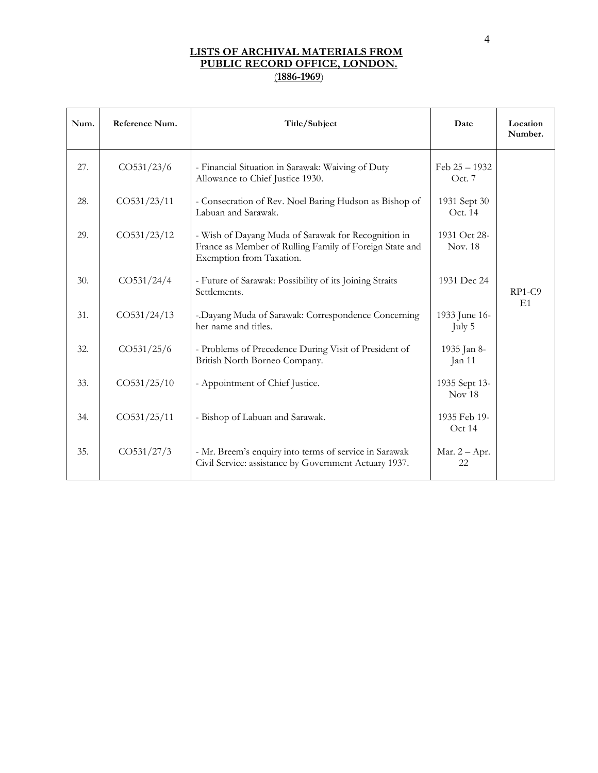| Num. | Reference Num. | Title/Subject                                                                                                                              | Date                               | Location<br>Number. |
|------|----------------|--------------------------------------------------------------------------------------------------------------------------------------------|------------------------------------|---------------------|
| 27.  | CO531/23/6     | - Financial Situation in Sarawak: Waiving of Duty<br>Allowance to Chief Justice 1930.                                                      | Feb $25 - 1932$<br>Oct. 7          |                     |
| 28.  | CO531/23/11    | - Consecration of Rev. Noel Baring Hudson as Bishop of<br>Labuan and Sarawak.                                                              | 1931 Sept 30<br>Oct. 14            |                     |
| 29.  | CO531/23/12    | - Wish of Dayang Muda of Sarawak for Recognition in<br>France as Member of Rulling Family of Foreign State and<br>Exemption from Taxation. | 1931 Oct 28-<br>Nov. 18            |                     |
| 30.  | CO531/24/4     | - Future of Sarawak: Possibility of its Joining Straits<br>Settlements.                                                                    | 1931 Dec 24                        | $RP1-C9$            |
| 31.  | CO531/24/13    | - Dayang Muda of Sarawak: Correspondence Concerning<br>her name and titles.                                                                | 1933 June 16-<br>July 5            | E1                  |
| 32.  | CO531/25/6     | - Problems of Precedence During Visit of President of<br>British North Borneo Company.                                                     | 1935 Jan 8-<br>Jan 11              |                     |
| 33.  | CO531/25/10    | - Appointment of Chief Justice.                                                                                                            | 1935 Sept 13-<br>Nov <sub>18</sub> |                     |
| 34.  | CO531/25/11    | - Bishop of Labuan and Sarawak.                                                                                                            | 1935 Feb 19-<br>Oct 14             |                     |
| 35.  | CO531/27/3     | - Mr. Breem's enquiry into terms of service in Sarawak<br>Civil Service: assistance by Government Actuary 1937.                            | Mar. $2 - Apr$ .<br>22             |                     |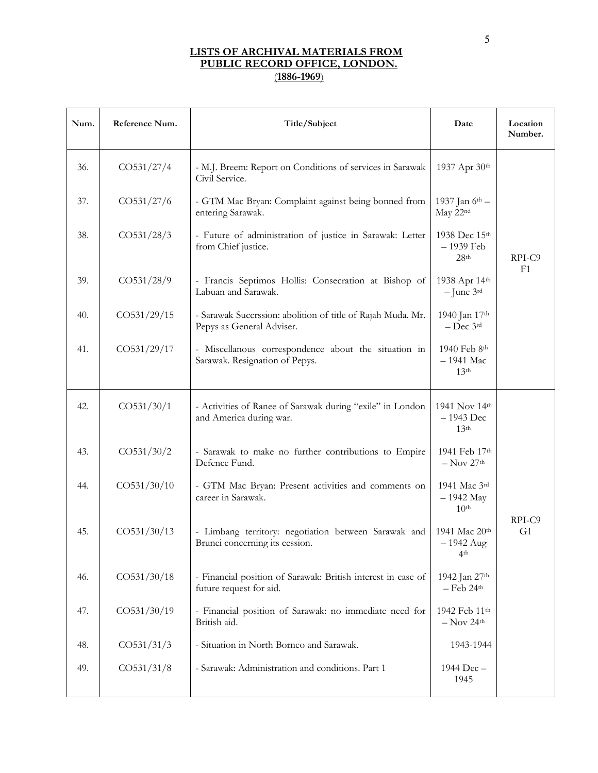| Num. | Reference Num. | Title/Subject                                                                            | Date                                             | Location<br>Number. |
|------|----------------|------------------------------------------------------------------------------------------|--------------------------------------------------|---------------------|
| 36.  | CO531/27/4     | - M.J. Breem: Report on Conditions of services in Sarawak<br>Civil Service.              | 1937 Apr 30th                                    |                     |
| 37.  | CO531/27/6     | - GTM Mac Bryan: Complaint against being bonned from<br>entering Sarawak.                | 1937 Jan 6th -<br>May 22nd                       |                     |
| 38.  | CO531/28/3     | - Future of administration of justice in Sarawak: Letter<br>from Chief justice.          | 1938 Dec 15th<br>- 1939 Feb<br>28 <sup>th</sup>  | RPI-C9              |
| 39.  | CO531/28/9     | - Francis Septimos Hollis: Consecration at Bishop of<br>Labuan and Sarawak.              | 1938 Apr 14th<br>$-$ June $3^{\text{rd}}$        | F1                  |
| 40.  | CO531/29/15    | - Sarawak Succrssion: abolition of title of Rajah Muda. Mr.<br>Pepys as General Adviser. | 1940 Jan 17th<br>$-$ Dec $3$ <sup>rd</sup>       |                     |
| 41.  | CO531/29/17    | - Miscellanous correspondence about the situation in<br>Sarawak. Resignation of Pepys.   | 1940 Feb 8th<br>$-1941$ Mac<br>13 <sup>th</sup>  |                     |
| 42.  | CO531/30/1     | - Activities of Ranee of Sarawak during "exile" in London<br>and America during war.     | 1941 Nov 14th<br>$-1943$ Dec<br>13 <sup>th</sup> |                     |
| 43.  | CO531/30/2     | - Sarawak to make no further contributions to Empire<br>Defence Fund.                    | 1941 Feb 17th<br>$-$ Nov 27 <sup>th</sup>        |                     |
| 44.  | CO531/30/10    | - GTM Mac Bryan: Present activities and comments on<br>career in Sarawak.                | 1941 Mac 3rd<br>$-1942$ May<br>10 <sup>th</sup>  | RPI-C9              |
| 45.  | CO531/30/13    | - Limbang territory: negotiation between Sarawak and<br>Brunei concerning its cession.   | 1941 Mac 20th<br>$-1942$ Aug<br>4 <sup>th</sup>  | G <sub>1</sub>      |
| 46.  | CO531/30/18    | - Financial position of Sarawak: British interest in case of<br>future request for aid.  | 1942 Jan 27th<br>$-$ Feb 24 <sup>th</sup>        |                     |
| 47.  | CO531/30/19    | - Financial position of Sarawak: no immediate need for<br>British aid.                   | 1942 Feb 11th<br>$-$ Nov 24 <sup>th</sup>        |                     |
| 48.  | CO531/31/3     | - Situation in North Borneo and Sarawak.                                                 | 1943-1944                                        |                     |
| 49.  | CO531/31/8     | - Sarawak: Administration and conditions. Part 1                                         | 1944 Dec -<br>1945                               |                     |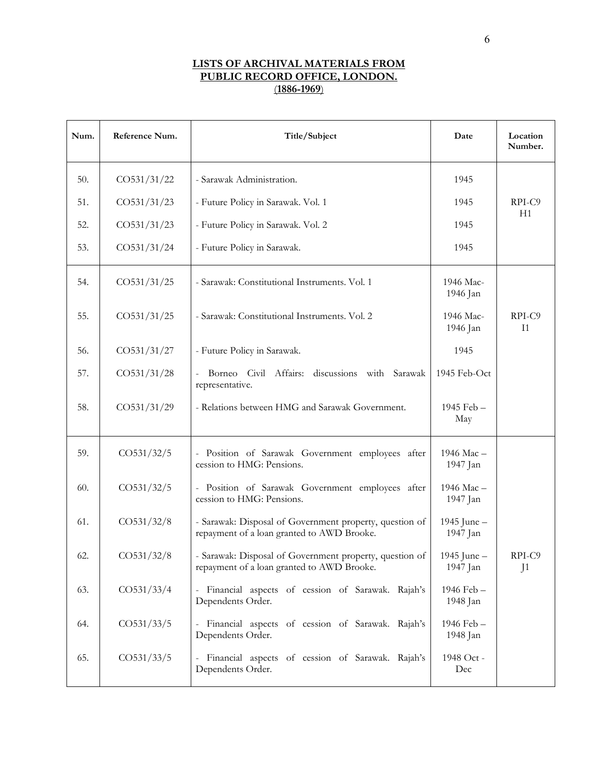| Num. | Reference Num.         | Title/Subject                                                                                         | Date                      | Location<br>Number.      |
|------|------------------------|-------------------------------------------------------------------------------------------------------|---------------------------|--------------------------|
| 50.  | CO531/31/22            | - Sarawak Administration.                                                                             | 1945                      |                          |
| 51.  | CO531/31/23            | - Future Policy in Sarawak. Vol. 1                                                                    | 1945                      | RPI-C9                   |
| 52.  | CO531/31/23            | - Future Policy in Sarawak. Vol. 2                                                                    | 1945                      | H1                       |
| 53.  | CO531/31/24            | - Future Policy in Sarawak.                                                                           | 1945                      |                          |
| 54.  | CO531/31/25            | - Sarawak: Constitutional Instruments. Vol. 1                                                         | 1946 Mac-<br>1946 Jan     |                          |
| 55.  | CO531/31/25            | - Sarawak: Constitutional Instruments. Vol. 2                                                         | 1946 Mac-<br>1946 Jan     | RPI-C9<br>I <sub>1</sub> |
| 56.  | CO531/31/27            | - Future Policy in Sarawak.                                                                           | 1945                      |                          |
| 57.  | CO531/31/28            | - Borneo Civil Affairs:<br>discussions with Sarawak<br>representative.                                | 1945 Feb-Oct              |                          |
| 58.  | CO531/31/29            | - Relations between HMG and Sarawak Government.                                                       | 1945 Feb -<br>May         |                          |
| 59.  | CO531/32/5             | - Position of Sarawak Government employees after<br>cession to HMG: Pensions.                         | 1946 Mac-<br>1947 Jan     |                          |
| 60.  | CO531/32/5             | - Position of Sarawak Government employees after<br>cession to HMG: Pensions.                         | 1946 Mac-<br>1947 Jan     |                          |
| 61.  | CO531/32/8             | - Sarawak: Disposal of Government property, question of<br>repayment of a loan granted to AWD Brooke. | 1945 June -<br>1947 Jan   |                          |
| 62.  | CO <sub>531/32/8</sub> | - Sarawak: Disposal of Government property, question of<br>repayment of a loan granted to AWD Brooke. | 1945 June $-$<br>1947 Jan | RPI-C9<br>J <sub>1</sub> |
| 63.  | CO <sub>531/33/4</sub> | - Financial aspects of cession of Sarawak. Rajah's<br>Dependents Order.                               | 1946 Feb -<br>1948 Jan    |                          |
| 64.  | CO531/33/5             | - Financial aspects of cession of Sarawak. Rajah's<br>Dependents Order.                               | 1946 Feb -<br>1948 Jan    |                          |
| 65.  | CO531/33/5             | - Financial aspects of cession of Sarawak. Rajah's<br>Dependents Order.                               | 1948 Oct -<br>Dec         |                          |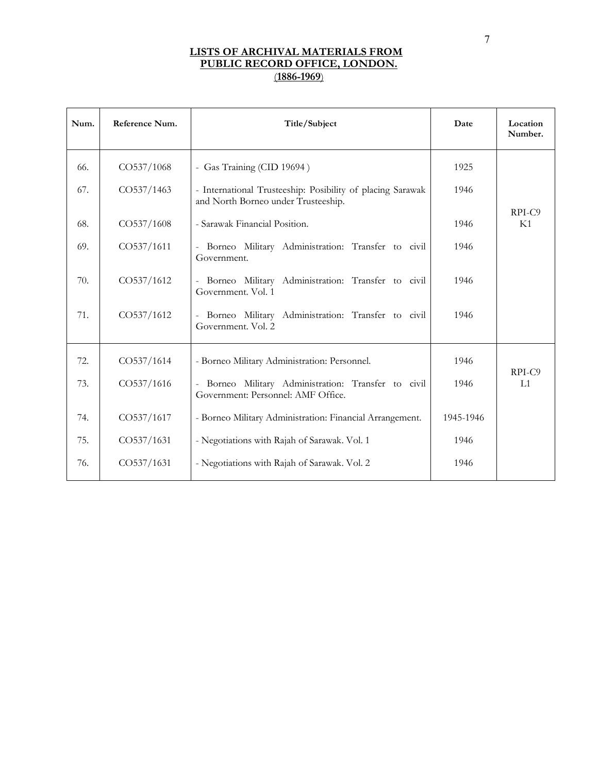| Num. | Reference Num. | Title/Subject                                                                                     | Date      | Location<br>Number. |
|------|----------------|---------------------------------------------------------------------------------------------------|-----------|---------------------|
| 66.  | CO537/1068     | - Gas Training (CID 19694)                                                                        | 1925      |                     |
| 67.  | CO537/1463     | - International Trusteeship: Posibility of placing Sarawak<br>and North Borneo under Trusteeship. | 1946      |                     |
| 68.  | CO537/1608     | - Sarawak Financial Position.                                                                     | 1946      | RPI-C9<br>K1        |
| 69.  | CO537/1611     | Borneo Military Administration: Transfer to civil<br>Government.                                  | 1946      |                     |
| 70.  | CO537/1612     | - Borneo Military Administration: Transfer to civil<br>Government. Vol. 1                         | 1946      |                     |
| 71.  | CO537/1612     | Borneo Military Administration: Transfer to civil<br>Government. Vol. 2                           | 1946      |                     |
| 72.  | CO537/1614     | - Borneo Military Administration: Personnel.                                                      | 1946      |                     |
| 73.  | CO537/1616     | Borneo Military Administration: Transfer to civil<br>Government: Personnel: AMF Office.           | 1946      | RPI-C9<br>L1        |
| 74.  | CO537/1617     | - Borneo Military Administration: Financial Arrangement.                                          | 1945-1946 |                     |
| 75.  | CO537/1631     | - Negotiations with Rajah of Sarawak. Vol. 1                                                      | 1946      |                     |
| 76.  | CO537/1631     | - Negotiations with Rajah of Sarawak. Vol. 2                                                      | 1946      |                     |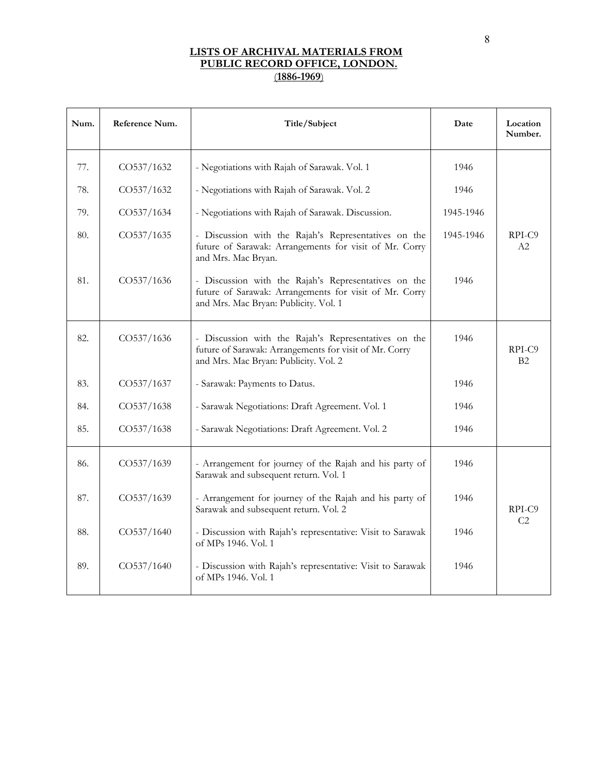| Num. | Reference Num. | Title/Subject                                                                                                                                           | Date      | Location<br>Number. |
|------|----------------|---------------------------------------------------------------------------------------------------------------------------------------------------------|-----------|---------------------|
| 77.  | CO537/1632     | - Negotiations with Rajah of Sarawak. Vol. 1                                                                                                            | 1946      |                     |
| 78.  | CO537/1632     | - Negotiations with Rajah of Sarawak. Vol. 2                                                                                                            | 1946      |                     |
| 79.  | CO537/1634     | - Negotiations with Rajah of Sarawak. Discussion.                                                                                                       | 1945-1946 |                     |
| 80.  | CO537/1635     | - Discussion with the Rajah's Representatives on the<br>future of Sarawak: Arrangements for visit of Mr. Corry<br>and Mrs. Mac Bryan.                   | 1945-1946 | RPI-C9<br>A2        |
| 81.  | CO537/1636     | - Discussion with the Rajah's Representatives on the<br>future of Sarawak: Arrangements for visit of Mr. Corry<br>and Mrs. Mac Bryan: Publicity. Vol. 1 | 1946      |                     |
| 82.  | CO537/1636     | - Discussion with the Rajah's Representatives on the<br>future of Sarawak: Arrangements for visit of Mr. Corry<br>and Mrs. Mac Bryan: Publicity. Vol. 2 | 1946      | RPI-C9<br>B2        |
| 83.  | CO537/1637     | - Sarawak: Payments to Datus.                                                                                                                           | 1946      |                     |
| 84.  | CO537/1638     | - Sarawak Negotiations: Draft Agreement. Vol. 1                                                                                                         | 1946      |                     |
| 85.  | CO537/1638     | - Sarawak Negotiations: Draft Agreement. Vol. 2                                                                                                         | 1946      |                     |
| 86.  | CO537/1639     | - Arrangement for journey of the Rajah and his party of<br>Sarawak and subsequent return. Vol. 1                                                        | 1946      |                     |
| 87.  | CO537/1639     | - Arrangement for journey of the Rajah and his party of<br>Sarawak and subsequent return. Vol. 2                                                        | 1946      | RPI-C9              |
| 88.  | CO537/1640     | - Discussion with Rajah's representative: Visit to Sarawak<br>of MPs 1946. Vol. 1                                                                       | 1946      | C <sub>2</sub>      |
| 89.  | CO537/1640     | - Discussion with Rajah's representative: Visit to Sarawak<br>of MPs 1946. Vol. 1                                                                       | 1946      |                     |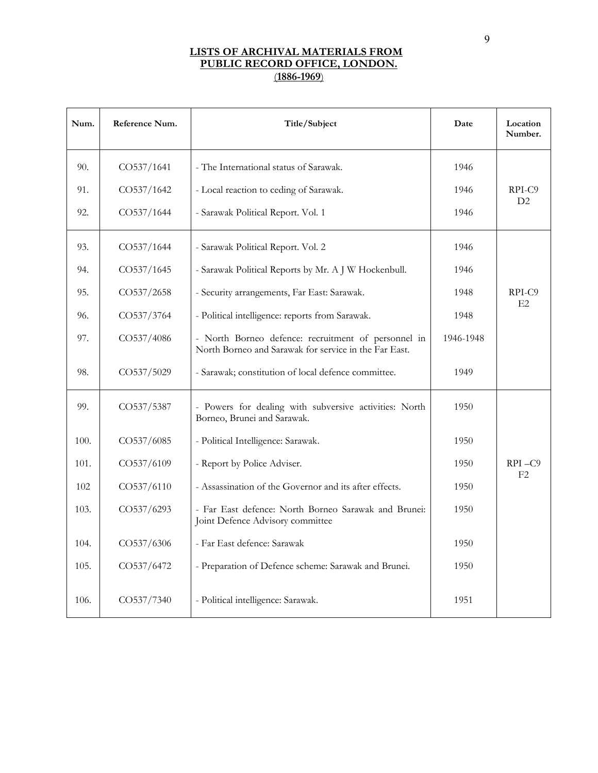| Num. | Reference Num. | Title/Subject                                                                                                | Date      | Location<br>Number. |
|------|----------------|--------------------------------------------------------------------------------------------------------------|-----------|---------------------|
| 90.  | CO537/1641     | - The International status of Sarawak.                                                                       | 1946      |                     |
| 91.  | CO537/1642     | - Local reaction to ceding of Sarawak.                                                                       | 1946      | RPI-C9              |
| 92.  | CO537/1644     | - Sarawak Political Report. Vol. 1                                                                           | 1946      | D2                  |
| 93.  | CO537/1644     | - Sarawak Political Report. Vol. 2                                                                           | 1946      |                     |
| 94.  | CO537/1645     | - Sarawak Political Reports by Mr. A J W Hockenbull.                                                         | 1946      |                     |
| 95.  | CO537/2658     | - Security arrangements, Far East: Sarawak.                                                                  | 1948      | RPI-C9              |
| 96.  | CO537/3764     | - Political intelligence: reports from Sarawak.                                                              | 1948      | E2                  |
| 97.  | CO537/4086     | - North Borneo defence: recruitment of personnel in<br>North Borneo and Sarawak for service in the Far East. | 1946-1948 |                     |
| 98.  | CO537/5029     | - Sarawak; constitution of local defence committee.                                                          | 1949      |                     |
| 99.  | CO537/5387     | - Powers for dealing with subversive activities: North<br>Borneo, Brunei and Sarawak.                        | 1950      |                     |
| 100. | CO537/6085     | - Political Intelligence: Sarawak.                                                                           | 1950      |                     |
| 101. | CO537/6109     | - Report by Police Adviser.                                                                                  | 1950      | RPI-C9              |
| 102  | CO537/6110     | - Assassination of the Governor and its after effects.                                                       | 1950      | F2                  |
| 103. | CO537/6293     | - Far East defence: North Borneo Sarawak and Brunei:<br>Joint Defence Advisory committee                     | 1950      |                     |
| 104. | CO537/6306     | - Far East defence: Sarawak                                                                                  | 1950      |                     |
| 105. | CO537/6472     | - Preparation of Defence scheme: Sarawak and Brunei.                                                         | 1950      |                     |
| 106. | CO537/7340     | - Political intelligence: Sarawak.                                                                           | 1951      |                     |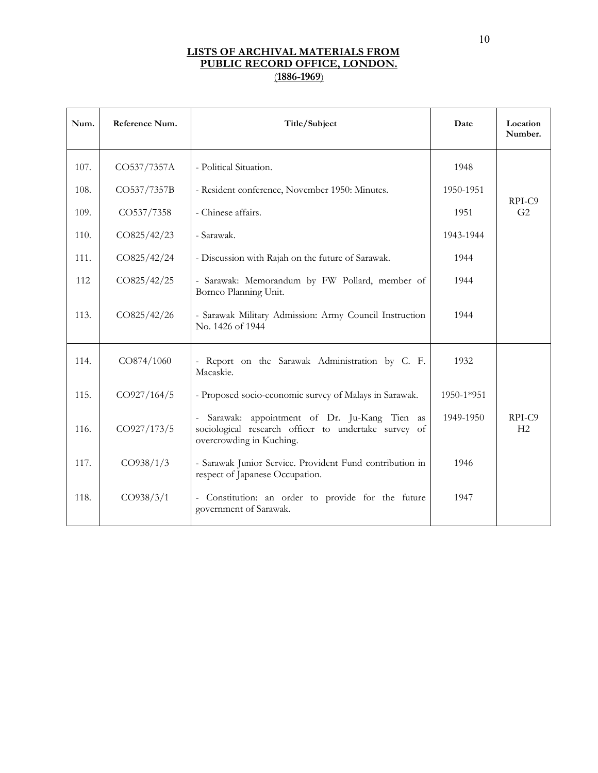| Num. | Reference Num. | Title/Subject                                                                                                                   | Date       | Location<br>Number.      |
|------|----------------|---------------------------------------------------------------------------------------------------------------------------------|------------|--------------------------|
| 107. | CO537/7357A    | - Political Situation.                                                                                                          | 1948       |                          |
| 108. | CO537/7357B    | - Resident conference, November 1950: Minutes.                                                                                  | 1950-1951  |                          |
| 109. | CO537/7358     | - Chinese affairs.                                                                                                              | 1951       | RPI-C9<br>G <sub>2</sub> |
| 110. | CO825/42/23    | - Sarawak.                                                                                                                      | 1943-1944  |                          |
| 111. | CO825/42/24    | - Discussion with Rajah on the future of Sarawak.                                                                               | 1944       |                          |
| 112  | CO825/42/25    | - Sarawak: Memorandum by FW Pollard, member of<br>Borneo Planning Unit.                                                         | 1944       |                          |
| 113. | CO825/42/26    | - Sarawak Military Admission: Army Council Instruction<br>No. 1426 of 1944                                                      | 1944       |                          |
| 114. | CO874/1060     | - Report on the Sarawak Administration by C. F.<br>Macaskie.                                                                    | 1932       |                          |
| 115. | CO927/164/5    | - Proposed socio-economic survey of Malays in Sarawak.                                                                          | 1950-1*951 |                          |
| 116. | CO927/173/5    | Sarawak: appointment of Dr. Ju-Kang Tien as<br>sociological research officer to undertake survey of<br>overcrowding in Kuching. | 1949-1950  | RPI-C9<br>H2             |
| 117. | CO938/1/3      | - Sarawak Junior Service. Provident Fund contribution in<br>respect of Japanese Occupation.                                     | 1946       |                          |
| 118. | CO938/3/1      | - Constitution: an order to provide for the future<br>government of Sarawak.                                                    | 1947       |                          |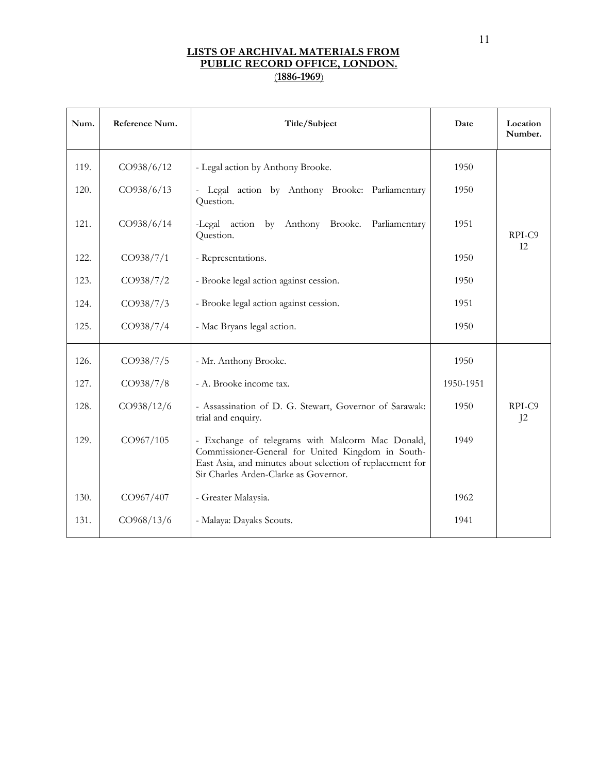| Num. | Reference Num. | Title/Subject                                                                                                                                                                                               | Date      | Location<br>Number. |
|------|----------------|-------------------------------------------------------------------------------------------------------------------------------------------------------------------------------------------------------------|-----------|---------------------|
| 119. | CO938/6/12     | - Legal action by Anthony Brooke.                                                                                                                                                                           | 1950      |                     |
| 120. | CO938/6/13     | Legal action by Anthony Brooke: Parliamentary<br>$\equiv$<br>Question.                                                                                                                                      | 1950      |                     |
| 121. | CO938/6/14     | -Legal action<br>by Anthony Brooke.<br>Parliamentary<br>Question.                                                                                                                                           | 1951      | RPI-C9              |
| 122. | CO938/7/1      | - Representations.                                                                                                                                                                                          | 1950      | I2                  |
| 123. | CO938/7/2      | - Brooke legal action against cession.                                                                                                                                                                      | 1950      |                     |
| 124. | CO938/7/3      | - Brooke legal action against cession.                                                                                                                                                                      | 1951      |                     |
| 125. | CO938/7/4      | - Mac Bryans legal action.                                                                                                                                                                                  | 1950      |                     |
| 126. | CO938/7/5      | - Mr. Anthony Brooke.                                                                                                                                                                                       | 1950      |                     |
| 127. | CO938/7/8      | - A. Brooke income tax.                                                                                                                                                                                     | 1950-1951 |                     |
| 128. | CO938/12/6     | - Assassination of D. G. Stewart, Governor of Sarawak:<br>trial and enquiry.                                                                                                                                | 1950      | RPI-C9<br>$J^2$     |
| 129. | CO967/105      | - Exchange of telegrams with Malcorm Mac Donald,<br>Commissioner-General for United Kingdom in South-<br>East Asia, and minutes about selection of replacement for<br>Sir Charles Arden-Clarke as Governor. | 1949      |                     |
| 130. | CO967/407      | - Greater Malaysia.                                                                                                                                                                                         | 1962      |                     |
| 131. | CO968/13/6     | - Malaya: Dayaks Scouts.                                                                                                                                                                                    | 1941      |                     |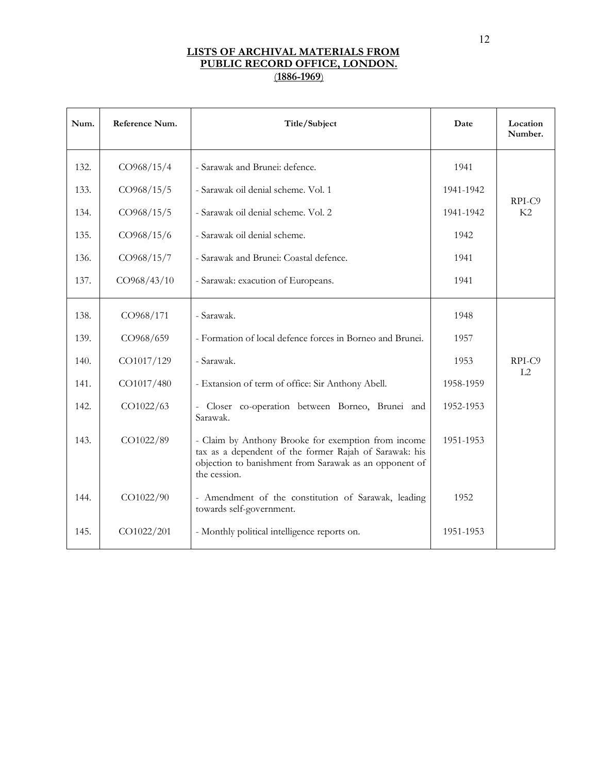| Num. | Reference Num. | Title/Subject                                                                                                                                                                           | Date      | Location<br>Number. |
|------|----------------|-----------------------------------------------------------------------------------------------------------------------------------------------------------------------------------------|-----------|---------------------|
| 132. | CO968/15/4     | - Sarawak and Brunei: defence.                                                                                                                                                          | 1941      |                     |
| 133. | CO968/15/5     | - Sarawak oil denial scheme. Vol. 1                                                                                                                                                     | 1941-1942 |                     |
| 134. | CO968/15/5     | - Sarawak oil denial scheme. Vol. 2                                                                                                                                                     | 1941-1942 | RPI-C9<br>K2        |
| 135. | CO968/15/6     | - Sarawak oil denial scheme.                                                                                                                                                            | 1942      |                     |
| 136. | CO968/15/7     | - Sarawak and Brunei: Coastal defence.                                                                                                                                                  | 1941      |                     |
| 137. | CO968/43/10    | - Sarawak: exacution of Europeans.                                                                                                                                                      | 1941      |                     |
| 138. | CO968/171      | - Sarawak.                                                                                                                                                                              | 1948      |                     |
| 139. | CO968/659      | - Formation of local defence forces in Borneo and Brunei.                                                                                                                               | 1957      |                     |
| 140. | CO1017/129     | - Sarawak.                                                                                                                                                                              | 1953      | RPI-C9              |
| 141. | CO1017/480     | - Extansion of term of office: Sir Anthony Abell.                                                                                                                                       | 1958-1959 | L2                  |
| 142. | CO1022/63      | - Closer co-operation between Borneo, Brunei and<br>Sarawak.                                                                                                                            | 1952-1953 |                     |
| 143. | CO1022/89      | - Claim by Anthony Brooke for exemption from income<br>tax as a dependent of the former Rajah of Sarawak: his<br>objection to banishment from Sarawak as an opponent of<br>the cession. | 1951-1953 |                     |
| 144. | CO1022/90      | - Amendment of the constitution of Sarawak, leading<br>towards self-government.                                                                                                         | 1952      |                     |
| 145. | CO1022/201     | - Monthly political intelligence reports on.                                                                                                                                            | 1951-1953 |                     |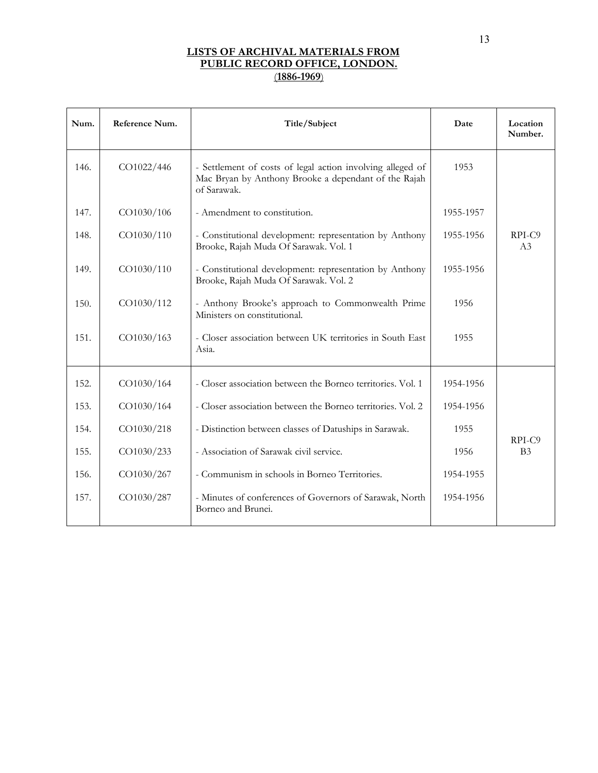| Num. | Reference Num. | Title/Subject                                                                                                                     | Date      | Location<br>Number.      |
|------|----------------|-----------------------------------------------------------------------------------------------------------------------------------|-----------|--------------------------|
| 146. | CO1022/446     | - Settlement of costs of legal action involving alleged of<br>Mac Bryan by Anthony Brooke a dependant of the Rajah<br>of Sarawak. | 1953      |                          |
| 147. | CO1030/106     | - Amendment to constitution.                                                                                                      | 1955-1957 |                          |
| 148. | CO1030/110     | - Constitutional development: representation by Anthony<br>Brooke, Rajah Muda Of Sarawak. Vol. 1                                  | 1955-1956 | RPI-C9<br>A <sub>3</sub> |
| 149. | CO1030/110     | - Constitutional development: representation by Anthony<br>Brooke, Rajah Muda Of Sarawak. Vol. 2                                  | 1955-1956 |                          |
| 150. | CO1030/112     | - Anthony Brooke's approach to Commonwealth Prime<br>Ministers on constitutional.                                                 | 1956      |                          |
| 151. | CO1030/163     | - Closer association between UK territories in South East<br>Asia.                                                                | 1955      |                          |
| 152. | CO1030/164     | - Closer association between the Borneo territories. Vol. 1                                                                       | 1954-1956 |                          |
| 153. | CO1030/164     | - Closer association between the Borneo territories. Vol. 2                                                                       | 1954-1956 |                          |
| 154. | CO1030/218     | - Distinction between classes of Datuships in Sarawak.                                                                            | 1955      |                          |
| 155. | CO1030/233     | - Association of Sarawak civil service.                                                                                           | 1956      | RPI-C9<br>B <sub>3</sub> |
| 156. | CO1030/267     | - Communism in schools in Borneo Territories.                                                                                     | 1954-1955 |                          |
| 157. | CO1030/287     | - Minutes of conferences of Governors of Sarawak, North<br>Borneo and Brunei.                                                     | 1954-1956 |                          |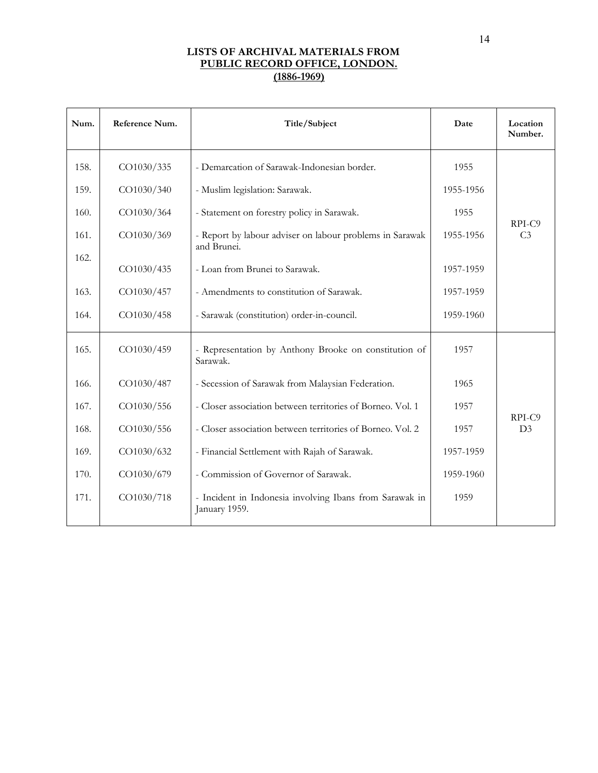| Num. | Reference Num. | Title/Subject                                                            | Date      | Location<br>Number.      |
|------|----------------|--------------------------------------------------------------------------|-----------|--------------------------|
| 158. | CO1030/335     | - Demarcation of Sarawak-Indonesian border.                              | 1955      |                          |
| 159. | CO1030/340     | - Muslim legislation: Sarawak.                                           | 1955-1956 |                          |
| 160. | CO1030/364     | - Statement on forestry policy in Sarawak.                               | 1955      |                          |
| 161. | CO1030/369     | - Report by labour adviser on labour problems in Sarawak<br>and Brunei.  | 1955-1956 | RPI-C9<br>C <sub>3</sub> |
| 162. | CO1030/435     | - Loan from Brunei to Sarawak.                                           | 1957-1959 |                          |
| 163. | CO1030/457     | - Amendments to constitution of Sarawak.                                 | 1957-1959 |                          |
| 164. | CO1030/458     | - Sarawak (constitution) order-in-council.                               | 1959-1960 |                          |
| 165. | CO1030/459     | - Representation by Anthony Brooke on constitution of<br>Sarawak.        | 1957      |                          |
| 166. | CO1030/487     | - Secession of Sarawak from Malaysian Federation.                        | 1965      |                          |
| 167. | CO1030/556     | - Closer association between territories of Borneo. Vol. 1               | 1957      |                          |
| 168. | CO1030/556     | - Closer association between territories of Borneo. Vol. 2               | 1957      | RPI-C9<br>D <sub>3</sub> |
| 169. | CO1030/632     | - Financial Settlement with Rajah of Sarawak.                            | 1957-1959 |                          |
| 170. | CO1030/679     | - Commission of Governor of Sarawak.                                     | 1959-1960 |                          |
| 171. | CO1030/718     | - Incident in Indonesia involving Ibans from Sarawak in<br>January 1959. | 1959      |                          |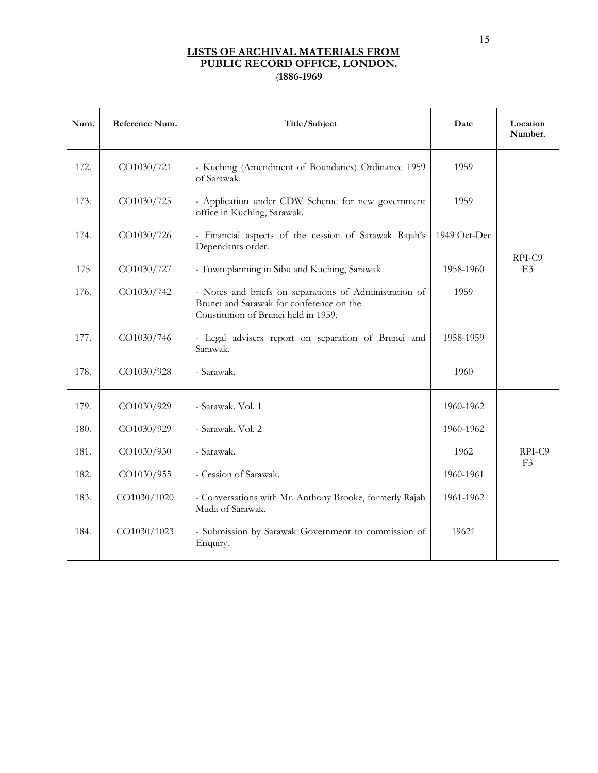| Num. | Reference Num. | Title/Subject                                                                                                                              | Date         | Location<br>Number.      |
|------|----------------|--------------------------------------------------------------------------------------------------------------------------------------------|--------------|--------------------------|
| 172. | CO1030/721     | - Kuching (Amendment of Boundaries) Ordinance 1959<br>of Sarawak.                                                                          | 1959         |                          |
| 173. | CO1030/725     | - Application under CDW Scheme for new government<br>office in Kuching, Sarawak.                                                           | 1959         |                          |
| 174. | CO1030/726     | - Financial aspects of the cession of Sarawak Rajah's<br>Dependants order.                                                                 | 1949 Oct-Dec |                          |
| 175  | CO1030/727     | - Town planning in Sibu and Kuching, Sarawak                                                                                               | 1958-1960    | RPI-C9<br>E <sub>3</sub> |
| 176. | CO1030/742     | - Notes and briefs on separations of Administration of<br>Brunei and Sarawak for conference on the<br>Constitution of Brunei held in 1959. | 1959         |                          |
| 177. | CO1030/746     | - Legal advisers report on separation of Brunei and<br>Sarawak.                                                                            | 1958-1959    |                          |
| 178. | CO1030/928     | - Sarawak.                                                                                                                                 | 1960         |                          |
| 179. | CO1030/929     | - Sarawak. Vol. 1                                                                                                                          | 1960-1962    |                          |
| 180. | CO1030/929     | - Sarawak. Vol. 2                                                                                                                          | 1960-1962    |                          |
| 181. | CO1030/930     | - Sarawak.                                                                                                                                 | 1962         | RPI-C9                   |
| 182. | CO1030/955     | - Cession of Sarawak.                                                                                                                      | 1960-1961    | E <sub>3</sub>           |
| 183. | CO1030/1020    | - Conversations with Mr. Anthony Brooke, formerly Rajah<br>Muda of Sarawak.                                                                | 1961-1962    |                          |
| 184. | CO1030/1023    | - Submission by Sarawak Government to commission of<br>Enquiry.                                                                            | 19621        |                          |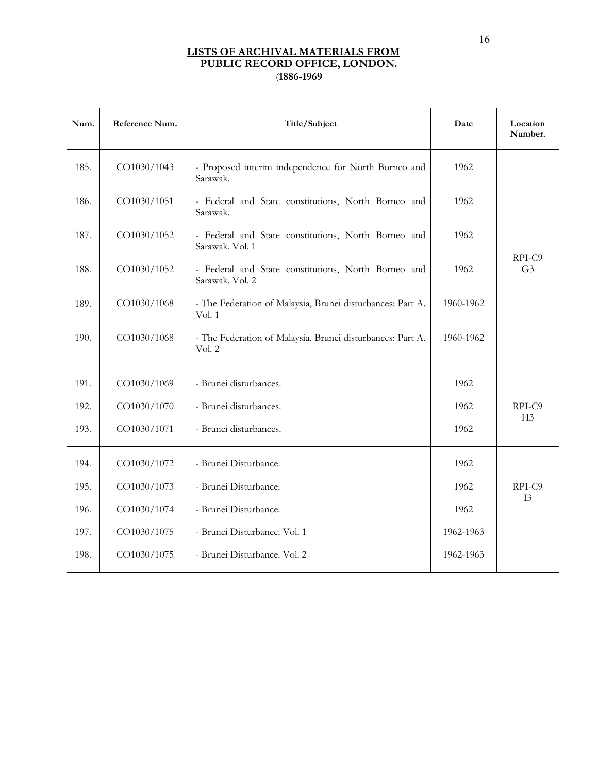| Num. | Reference Num. | Title/Subject                                                          | Date      | Location<br>Number.      |
|------|----------------|------------------------------------------------------------------------|-----------|--------------------------|
| 185. | CO1030/1043    | - Proposed interim independence for North Borneo and<br>Sarawak.       | 1962      |                          |
| 186. | CO1030/1051    | - Federal and State constitutions, North Borneo and<br>Sarawak.        | 1962      |                          |
| 187. | CO1030/1052    | - Federal and State constitutions, North Borneo and<br>Sarawak. Vol. 1 | 1962      |                          |
| 188. | CO1030/1052    | - Federal and State constitutions, North Borneo and<br>Sarawak. Vol. 2 | 1962      | RPI-C9<br>G <sub>3</sub> |
| 189. | CO1030/1068    | - The Federation of Malaysia, Brunei disturbances: Part A.<br>Vol. 1   | 1960-1962 |                          |
| 190. | CO1030/1068    | - The Federation of Malaysia, Brunei disturbances: Part A.<br>Vol. 2   | 1960-1962 |                          |
| 191. | CO1030/1069    | - Brunei disturbances.                                                 | 1962      |                          |
| 192. | CO1030/1070    | - Brunei disturbances.                                                 | 1962      | RPI-C9                   |
| 193. | CO1030/1071    | - Brunei disturbances.                                                 | 1962      | H <sub>3</sub>           |
| 194. | CO1030/1072    | - Brunei Disturbance.                                                  | 1962      |                          |
| 195. | CO1030/1073    | - Brunei Disturbance.                                                  | 1962      | RPI-C9                   |
| 196. | CO1030/1074    | - Brunei Disturbance.                                                  | 1962      | I3                       |
| 197. | CO1030/1075    | - Brunei Disturbance. Vol. 1                                           | 1962-1963 |                          |
| 198. | CO1030/1075    | - Brunei Disturbance. Vol. 2                                           | 1962-1963 |                          |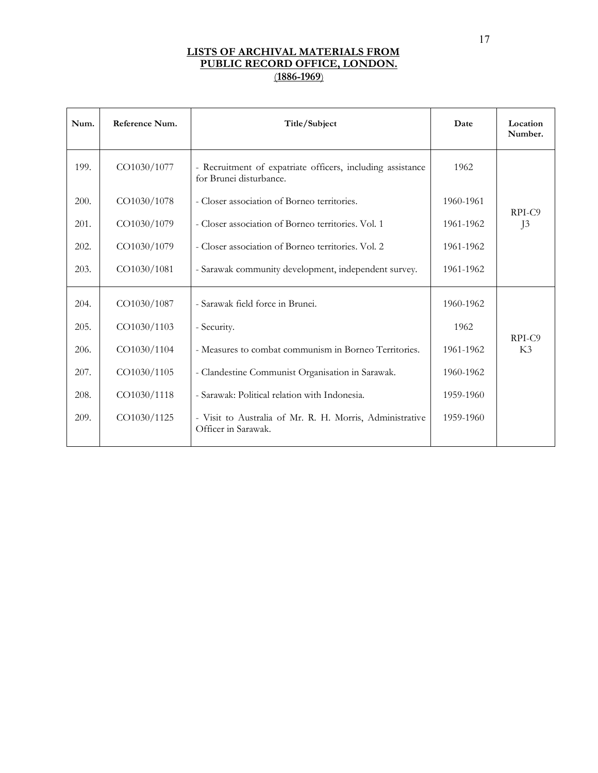| Num. | Reference Num. | Title/Subject                                                                         | Date      | Location<br>Number. |
|------|----------------|---------------------------------------------------------------------------------------|-----------|---------------------|
| 199. | CO1030/1077    | - Recruitment of expatriate officers, including assistance<br>for Brunei disturbance. | 1962      |                     |
| 200. | CO1030/1078    | - Closer association of Borneo territories.                                           | 1960-1961 | RPI-C9              |
| 201. | CO1030/1079    | - Closer association of Borneo territories. Vol. 1                                    | 1961-1962 | J <sup>3</sup>      |
| 202. | CO1030/1079    | - Closer association of Borneo territories. Vol. 2                                    | 1961-1962 |                     |
| 203. | CO1030/1081    | - Sarawak community development, independent survey.                                  | 1961-1962 |                     |
| 204. | CO1030/1087    | - Sarawak field force in Brunei.                                                      | 1960-1962 |                     |
| 205. | CO1030/1103    | - Security.                                                                           | 1962      | RPI-C9              |
| 206. | CO1030/1104    | - Measures to combat communism in Borneo Territories.                                 | 1961-1962 | K3                  |
| 207. | CO1030/1105    | - Clandestine Communist Organisation in Sarawak.                                      | 1960-1962 |                     |
| 208. | CO1030/1118    | - Sarawak: Political relation with Indonesia.                                         | 1959-1960 |                     |
| 209. | CO1030/1125    | - Visit to Australia of Mr. R. H. Morris, Administrative<br>Officer in Sarawak.       | 1959-1960 |                     |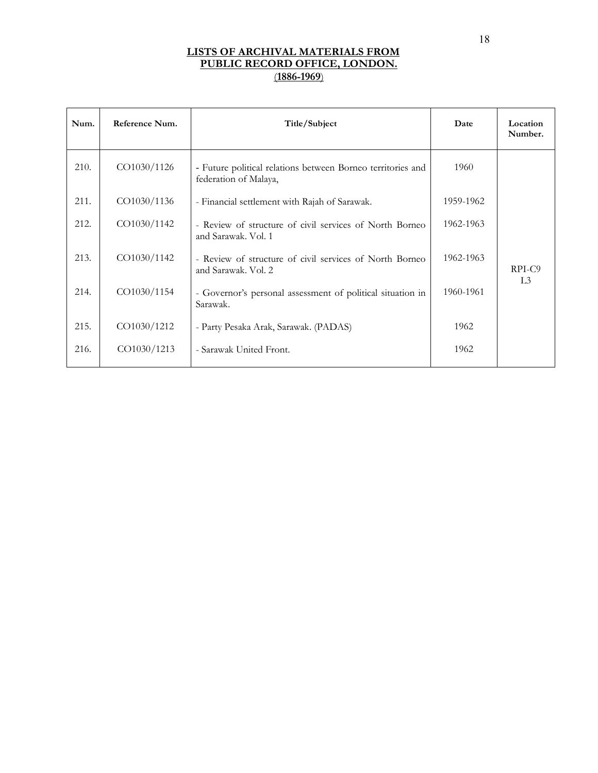| Num. | Reference Num. | Title/Subject                                                                        | Date      | Location<br>Number. |
|------|----------------|--------------------------------------------------------------------------------------|-----------|---------------------|
| 210. | CO1030/1126    | - Future political relations between Borneo territories and<br>federation of Malaya, | 1960      |                     |
| 211. | CO1030/1136    | - Financial settlement with Rajah of Sarawak.                                        | 1959-1962 |                     |
| 212. | CO1030/1142    | - Review of structure of civil services of North Borneo<br>and Sarawak. Vol. 1       | 1962-1963 |                     |
| 213. | CO1030/1142    | - Review of structure of civil services of North Borneo<br>and Sarawak. Vol. 2       | 1962-1963 | RPI-C <sub>9</sub>  |
| 214. | CO1030/1154    | - Governor's personal assessment of political situation in<br>Sarawak.               | 1960-1961 | L3                  |
| 215. | CO1030/1212    | - Party Pesaka Arak, Sarawak. (PADAS)                                                | 1962      |                     |
| 216. | CO1030/1213    | - Sarawak United Front.                                                              | 1962      |                     |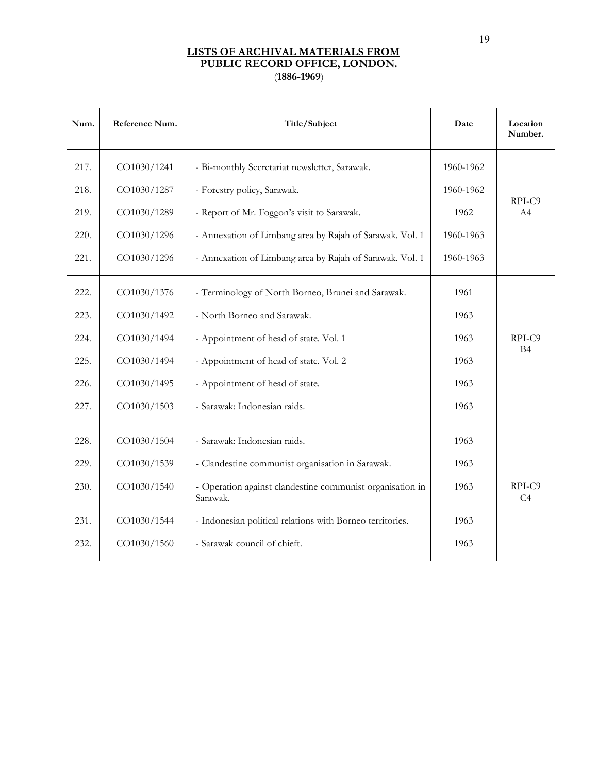| Num. | Reference Num. | Title/Subject                                                         | Date      | Location<br>Number. |
|------|----------------|-----------------------------------------------------------------------|-----------|---------------------|
| 217. | CO1030/1241    | - Bi-monthly Secretariat newsletter, Sarawak.                         | 1960-1962 |                     |
| 218. | CO1030/1287    | - Forestry policy, Sarawak.                                           | 1960-1962 |                     |
| 219. | CO1030/1289    | - Report of Mr. Foggon's visit to Sarawak.                            | 1962      | RPI-C9<br>A4        |
| 220. | CO1030/1296    | - Annexation of Limbang area by Rajah of Sarawak. Vol. 1              | 1960-1963 |                     |
| 221. | CO1030/1296    | - Annexation of Limbang area by Rajah of Sarawak. Vol. 1              | 1960-1963 |                     |
| 222. | CO1030/1376    | - Terminology of North Borneo, Brunei and Sarawak.                    | 1961      |                     |
| 223. | CO1030/1492    | - North Borneo and Sarawak.                                           | 1963      |                     |
| 224. | CO1030/1494    | - Appointment of head of state. Vol. 1                                | 1963      | RPI-C9              |
| 225. | CO1030/1494    | - Appointment of head of state. Vol. 2                                | 1963      | <b>B4</b>           |
| 226. | CO1030/1495    | - Appointment of head of state.                                       | 1963      |                     |
| 227. | CO1030/1503    | - Sarawak: Indonesian raids.                                          | 1963      |                     |
| 228. | CO1030/1504    | - Sarawak: Indonesian raids.                                          | 1963      |                     |
| 229. | CO1030/1539    | - Clandestine communist organisation in Sarawak.                      | 1963      |                     |
| 230. | CO1030/1540    | - Operation against clandestine communist organisation in<br>Sarawak. | 1963      | RPI-C9<br>C4        |
| 231. | CO1030/1544    | - Indonesian political relations with Borneo territories.             | 1963      |                     |
| 232. | CO1030/1560    | - Sarawak council of chieft.                                          | 1963      |                     |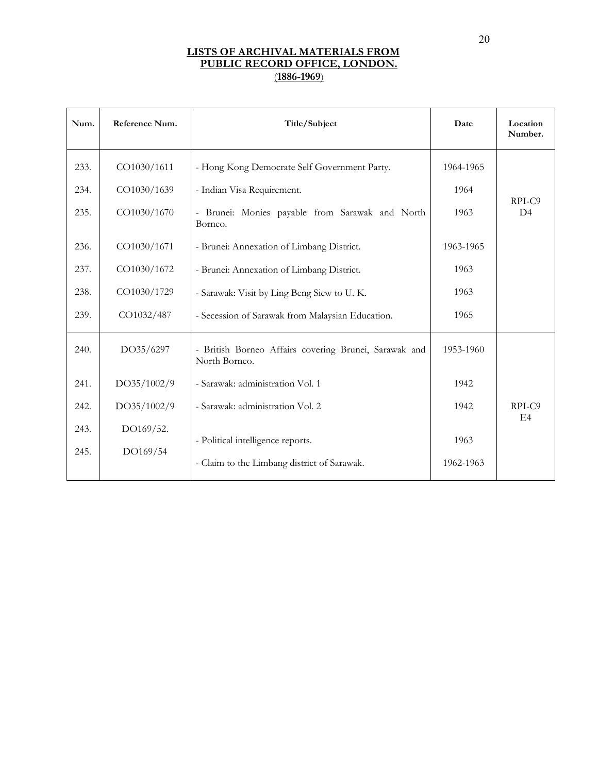| Num. | Reference Num. | Title/Subject                                                          | Date      | Location<br>Number.      |
|------|----------------|------------------------------------------------------------------------|-----------|--------------------------|
| 233. | CO1030/1611    | - Hong Kong Democrate Self Government Party.                           | 1964-1965 |                          |
| 234. | CO1030/1639    | - Indian Visa Requirement.                                             | 1964      |                          |
| 235. | CO1030/1670    | - Brunei: Monies payable from Sarawak and North<br>Borneo.             | 1963      | RPI-C9<br>D <sub>4</sub> |
| 236. | CO1030/1671    | - Brunei: Annexation of Limbang District.                              | 1963-1965 |                          |
| 237. | CO1030/1672    | - Brunei: Annexation of Limbang District.                              | 1963      |                          |
| 238. | CO1030/1729    | - Sarawak: Visit by Ling Beng Siew to U.K.                             | 1963      |                          |
| 239. | CO1032/487     | - Secession of Sarawak from Malaysian Education.                       | 1965      |                          |
| 240. | DO35/6297      | - British Borneo Affairs covering Brunei, Sarawak and<br>North Borneo. | 1953-1960 |                          |
| 241. | DO35/1002/9    | - Sarawak: administration Vol. 1                                       | 1942      |                          |
| 242. | DO35/1002/9    | - Sarawak: administration Vol. 2                                       | 1942      | RPI-C9                   |
| 243. | DO169/52.      |                                                                        |           | E4                       |
| 245. | DO169/54       | - Political intelligence reports.                                      | 1963      |                          |
|      |                | - Claim to the Limbang district of Sarawak.                            | 1962-1963 |                          |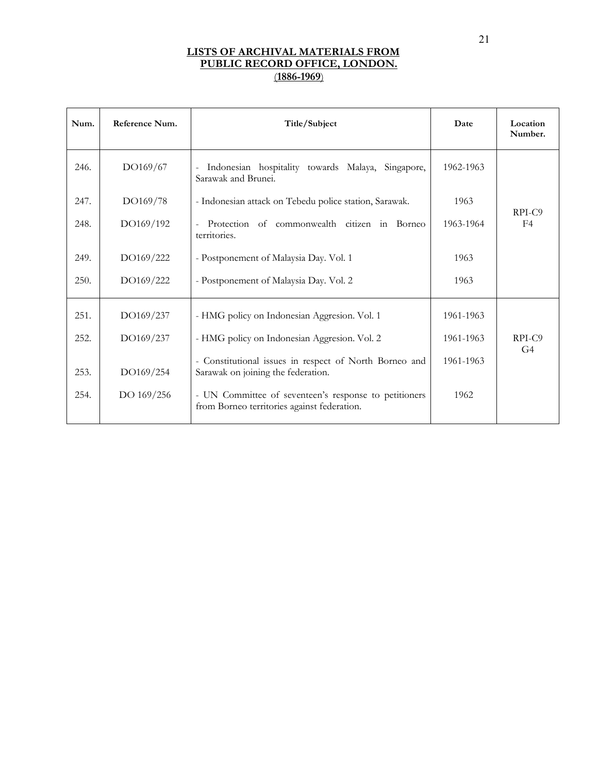| Num. | Reference Num. | Title/Subject                                                                                        | Date      | Location<br>Number.      |
|------|----------------|------------------------------------------------------------------------------------------------------|-----------|--------------------------|
| 246. | DO169/67       | Indonesian hospitality towards Malaya, Singapore,<br>Sarawak and Brunei.                             | 1962-1963 |                          |
| 247. | DO169/78       | - Indonesian attack on Tebedu police station, Sarawak.                                               | 1963      |                          |
| 248. | DO169/192      | Protection of commonwealth citizen in Borneo<br>territories.                                         | 1963-1964 | RPI-C9<br>F <sub>4</sub> |
| 249. | DO169/222      | - Postponement of Malaysia Day. Vol. 1                                                               | 1963      |                          |
| 250. | DO169/222      | - Postponement of Malaysia Day. Vol. 2                                                               | 1963      |                          |
| 251. | DO169/237      | - HMG policy on Indonesian Aggresion. Vol. 1                                                         | 1961-1963 |                          |
| 252. | DO169/237      | - HMG policy on Indonesian Aggresion. Vol. 2                                                         | 1961-1963 | RPI-C9<br>G <sub>4</sub> |
| 253. | DO169/254      | - Constitutional issues in respect of North Borneo and<br>Sarawak on joining the federation.         | 1961-1963 |                          |
| 254. | DO 169/256     | - UN Committee of seventeen's response to petitioners<br>from Borneo territories against federation. | 1962      |                          |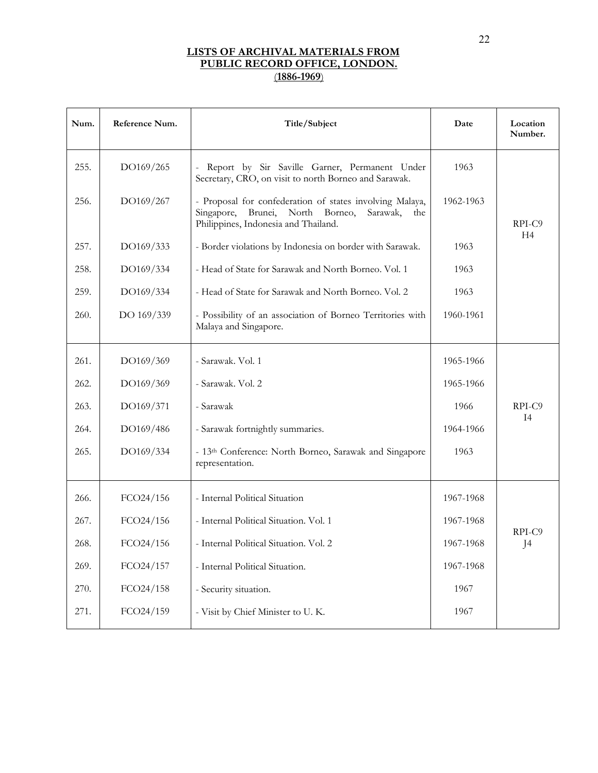| Num. | Reference Num. | Title/Subject                                                                                                                                                 | Date      | Location<br>Number.      |
|------|----------------|---------------------------------------------------------------------------------------------------------------------------------------------------------------|-----------|--------------------------|
| 255. | DO169/265      | Report by Sir Saville Garner, Permanent Under<br>Secretary, CRO, on visit to north Borneo and Sarawak.                                                        | 1963      |                          |
| 256. | DO169/267      | - Proposal for confederation of states involving Malaya,<br>Brunei,<br>North Borneo,<br>Singapore,<br>Sarawak,<br>the<br>Philippines, Indonesia and Thailand. | 1962-1963 | RPI-C9<br>H <sub>4</sub> |
| 257. | DO169/333      | - Border violations by Indonesia on border with Sarawak.                                                                                                      | 1963      |                          |
| 258. | DO169/334      | - Head of State for Sarawak and North Borneo. Vol. 1                                                                                                          | 1963      |                          |
| 259. | DO169/334      | - Head of State for Sarawak and North Borneo. Vol. 2                                                                                                          | 1963      |                          |
| 260. | DO 169/339     | - Possibility of an association of Borneo Territories with<br>Malaya and Singapore.                                                                           | 1960-1961 |                          |
| 261. | DO169/369      | - Sarawak. Vol. 1                                                                                                                                             | 1965-1966 |                          |
| 262. | DO169/369      | - Sarawak. Vol. 2                                                                                                                                             | 1965-1966 |                          |
| 263. | DO169/371      | - Sarawak                                                                                                                                                     | 1966      | RPI-C9                   |
| 264. | DO169/486      | - Sarawak fortnightly summaries.                                                                                                                              | 1964-1966 | I4                       |
| 265. | DO169/334      | - 13th Conference: North Borneo, Sarawak and Singapore<br>representation.                                                                                     | 1963      |                          |
| 266. | FCO24/156      | - Internal Political Situation                                                                                                                                | 1967-1968 |                          |
| 267. | FCO24/156      | - Internal Political Situation. Vol. 1                                                                                                                        | 1967-1968 |                          |
| 268. | FCO24/156      | - Internal Political Situation. Vol. 2                                                                                                                        | 1967-1968 | RPI-C9<br>J4             |
| 269. | FCO24/157      | - Internal Political Situation.                                                                                                                               | 1967-1968 |                          |
| 270. | FCO24/158      | - Security situation.                                                                                                                                         | 1967      |                          |
| 271. | FCO24/159      | - Visit by Chief Minister to U.K.                                                                                                                             | 1967      |                          |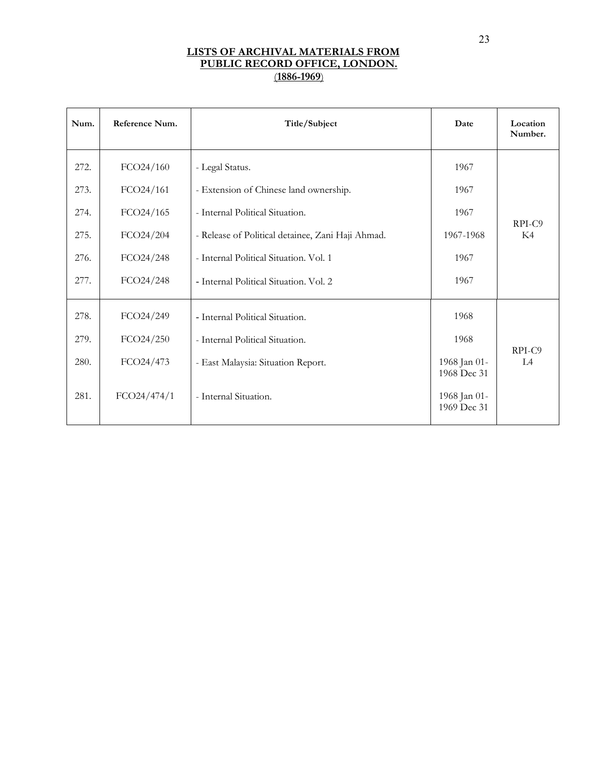| Num. | Reference Num. | Title/Subject                                     | Date                        | Location<br>Number. |
|------|----------------|---------------------------------------------------|-----------------------------|---------------------|
| 272. | FCO24/160      | - Legal Status.                                   | 1967                        |                     |
| 273. | FCO24/161      | - Extension of Chinese land ownership.            | 1967                        |                     |
| 274. | FCO24/165      | - Internal Political Situation.                   | 1967                        |                     |
| 275. | FCO24/204      | - Release of Political detainee, Zani Haji Ahmad. | 1967-1968                   | RPI-C9<br>K4        |
| 276. | FCO24/248      | - Internal Political Situation. Vol. 1            | 1967                        |                     |
| 277. | FCO24/248      | - Internal Political Situation. Vol. 2            | 1967                        |                     |
| 278. | FCO24/249      | - Internal Political Situation.                   | 1968                        |                     |
| 279. | FCO24/250      | - Internal Political Situation.                   | 1968                        | RPI-C9              |
| 280. | FCO24/473      | - East Malaysia: Situation Report.                | 1968 Jan 01-<br>1968 Dec 31 | L4                  |
| 281. | FCO24/474/1    | - Internal Situation.                             | 1968 Jan 01-<br>1969 Dec 31 |                     |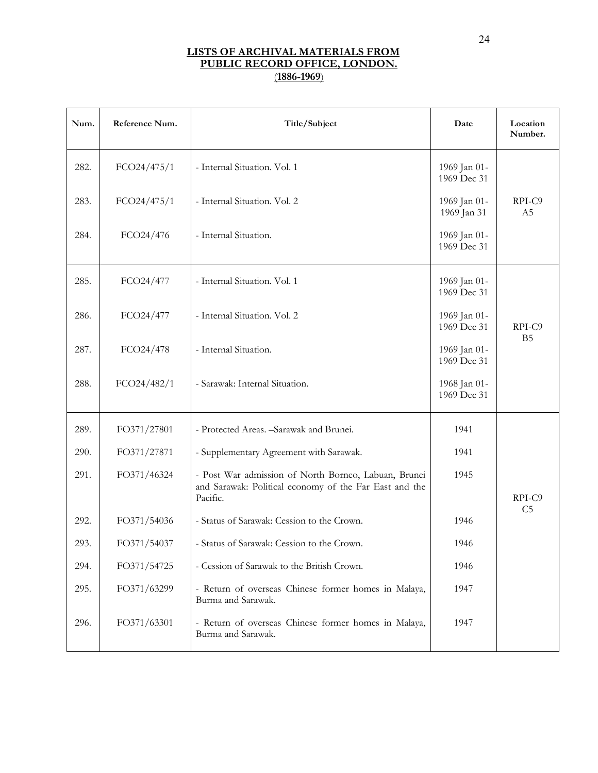| Num. | Reference Num. | Title/Subject                                                                                                              | Date                        | Location<br>Number.      |
|------|----------------|----------------------------------------------------------------------------------------------------------------------------|-----------------------------|--------------------------|
| 282. | FCO24/475/1    | - Internal Situation. Vol. 1                                                                                               | 1969 Jan 01-<br>1969 Dec 31 |                          |
| 283. | FCO24/475/1    | - Internal Situation. Vol. 2                                                                                               | 1969 Jan 01-<br>1969 Jan 31 | RPI-C9<br>A <sub>5</sub> |
| 284. | FCO24/476      | - Internal Situation.                                                                                                      | 1969 Jan 01-<br>1969 Dec 31 |                          |
| 285. | FCO24/477      | - Internal Situation. Vol. 1                                                                                               | 1969 Jan 01-<br>1969 Dec 31 |                          |
| 286. | FCO24/477      | - Internal Situation. Vol. 2                                                                                               | 1969 Jan 01-<br>1969 Dec 31 | RPI-C9                   |
| 287. | FCO24/478      | - Internal Situation.                                                                                                      | 1969 Jan 01-<br>1969 Dec 31 | B <sub>5</sub>           |
| 288. | FCO24/482/1    | - Sarawak: Internal Situation.                                                                                             | 1968 Jan 01-<br>1969 Dec 31 |                          |
| 289. | FO371/27801    | - Protected Areas. - Sarawak and Brunei.                                                                                   | 1941                        |                          |
| 290. | FO371/27871    | - Supplementary Agreement with Sarawak.                                                                                    | 1941                        |                          |
| 291. | FO371/46324    | - Post War admission of North Borneo, Labuan, Brunei<br>and Sarawak: Political economy of the Far East and the<br>Pacific. | 1945                        | RPI-C9                   |
| 292. | FO371/54036    | - Status of Sarawak: Cession to the Crown.                                                                                 | 1946                        | C <sub>5</sub>           |
| 293. | FO371/54037    | - Status of Sarawak: Cession to the Crown.                                                                                 | 1946                        |                          |
| 294. | FO371/54725    | - Cession of Sarawak to the British Crown.                                                                                 | 1946                        |                          |
| 295. | FO371/63299    | - Return of overseas Chinese former homes in Malaya,<br>Burma and Sarawak.                                                 | 1947                        |                          |
| 296. | FO371/63301    | - Return of overseas Chinese former homes in Malaya,<br>Burma and Sarawak.                                                 | 1947                        |                          |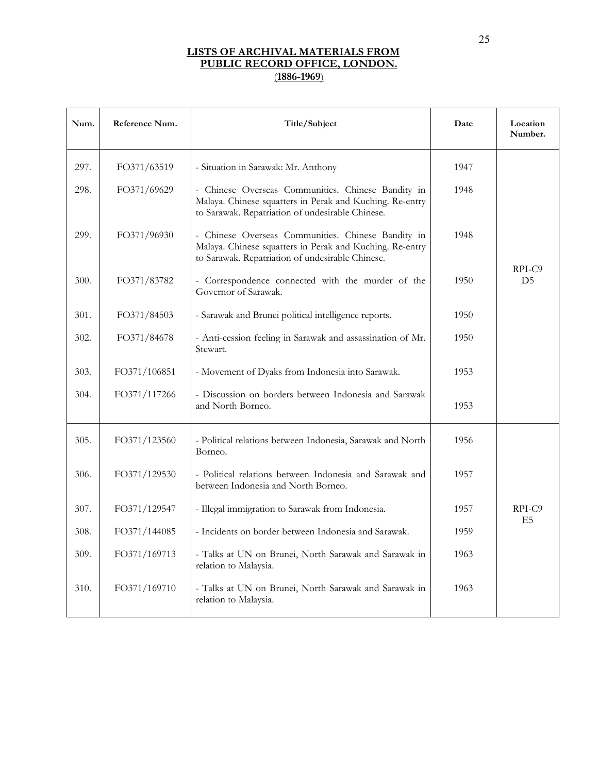| Num. | Reference Num. | Title/Subject                                                                                                                                                      | Date | Location<br>Number.        |
|------|----------------|--------------------------------------------------------------------------------------------------------------------------------------------------------------------|------|----------------------------|
| 297. | FO371/63519    | - Situation in Sarawak: Mr. Anthony                                                                                                                                | 1947 |                            |
| 298. | FO371/69629    | - Chinese Overseas Communities. Chinese Bandity in<br>Malaya. Chinese squatters in Perak and Kuching. Re-entry<br>to Sarawak. Repatriation of undesirable Chinese. | 1948 |                            |
| 299. | FO371/96930    | - Chinese Overseas Communities. Chinese Bandity in<br>Malaya. Chinese squatters in Perak and Kuching. Re-entry<br>to Sarawak. Repatriation of undesirable Chinese. | 1948 |                            |
| 300. | FO371/83782    | - Correspondence connected with the murder of the<br>Governor of Sarawak.                                                                                          | 1950 | $RPI-C9$<br>D <sub>5</sub> |
| 301. | FO371/84503    | - Sarawak and Brunei political intelligence reports.                                                                                                               | 1950 |                            |
| 302. | FO371/84678    | - Anti-cession feeling in Sarawak and assassination of Mr.<br>Stewart.                                                                                             | 1950 |                            |
| 303. | FO371/106851   | - Movement of Dyaks from Indonesia into Sarawak.                                                                                                                   | 1953 |                            |
| 304. | FO371/117266   | - Discussion on borders between Indonesia and Sarawak<br>and North Borneo.                                                                                         | 1953 |                            |
| 305. | FO371/123560   | - Political relations between Indonesia, Sarawak and North<br>Borneo.                                                                                              | 1956 |                            |
| 306. | FO371/129530   | - Political relations between Indonesia and Sarawak and<br>between Indonesia and North Borneo.                                                                     | 1957 |                            |
| 307. | FO371/129547   | - Illegal immigration to Sarawak from Indonesia.                                                                                                                   | 1957 | RPI-C9<br>E5               |
| 308. | FO371/144085   | - Incidents on border between Indonesia and Sarawak.                                                                                                               | 1959 |                            |
| 309. | FO371/169713   | - Talks at UN on Brunei, North Sarawak and Sarawak in<br>relation to Malaysia.                                                                                     | 1963 |                            |
| 310. | FO371/169710   | - Talks at UN on Brunei, North Sarawak and Sarawak in<br>relation to Malaysia.                                                                                     | 1963 |                            |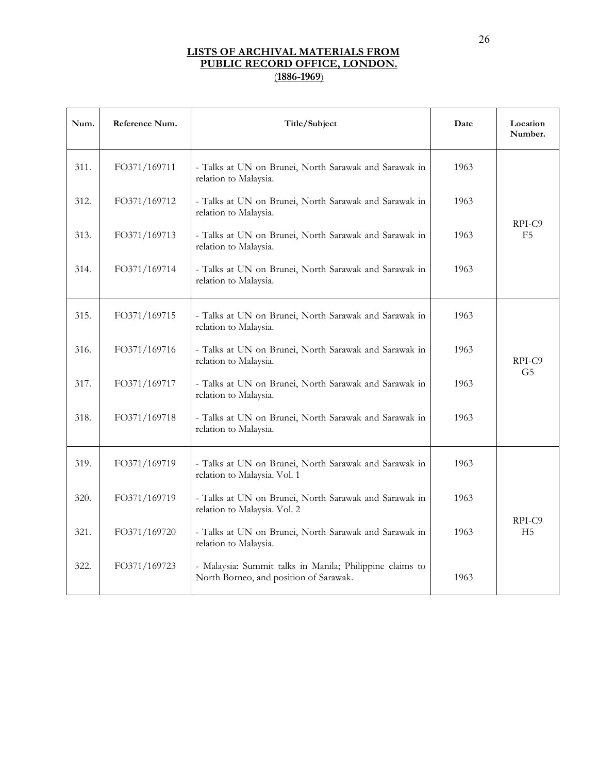| Num. | Reference Num. | Title/Subject                                                                                      | Date | Location<br>Number.      |
|------|----------------|----------------------------------------------------------------------------------------------------|------|--------------------------|
| 311. | FO371/169711   | - Talks at UN on Brunei, North Sarawak and Sarawak in<br>relation to Malaysia.                     | 1963 |                          |
| 312. | FO371/169712   | - Talks at UN on Brunei, North Sarawak and Sarawak in<br>relation to Malaysia.                     | 1963 |                          |
| 313. | FO371/169713   | - Talks at UN on Brunei, North Sarawak and Sarawak in<br>relation to Malaysia.                     | 1963 | RPI-C9<br>F <sub>5</sub> |
| 314. | FO371/169714   | - Talks at UN on Brunei, North Sarawak and Sarawak in<br>relation to Malaysia.                     | 1963 |                          |
| 315. | FO371/169715   | - Talks at UN on Brunei, North Sarawak and Sarawak in<br>relation to Malaysia.                     | 1963 |                          |
| 316. | FO371/169716   | - Talks at UN on Brunei, North Sarawak and Sarawak in<br>relation to Malaysia.                     | 1963 | RPI-C9                   |
| 317. | FO371/169717   | - Talks at UN on Brunei, North Sarawak and Sarawak in<br>relation to Malaysia.                     | 1963 | G5                       |
| 318. | FO371/169718   | - Talks at UN on Brunei, North Sarawak and Sarawak in<br>relation to Malaysia.                     | 1963 |                          |
| 319. | FO371/169719   | - Talks at UN on Brunei, North Sarawak and Sarawak in<br>relation to Malaysia. Vol. 1              | 1963 |                          |
| 320. | FO371/169719   | - Talks at UN on Brunei, North Sarawak and Sarawak in<br>relation to Malaysia. Vol. 2              | 1963 |                          |
| 321. | FO371/169720   | - Talks at UN on Brunei, North Sarawak and Sarawak in<br>relation to Malaysia.                     | 1963 | RPI-C9<br>H <sub>5</sub> |
| 322. | FO371/169723   | - Malaysia: Summit talks in Manila; Philippine claims to<br>North Borneo, and position of Sarawak. | 1963 |                          |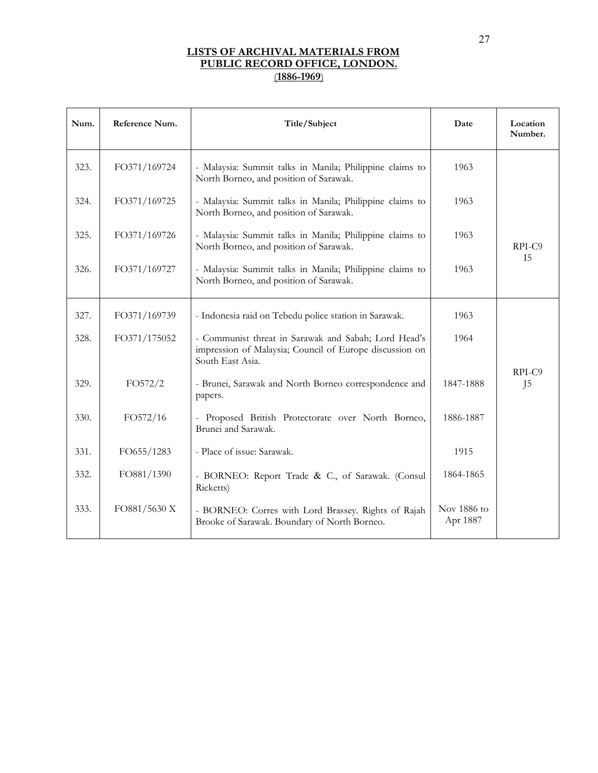| Num. | Reference Num. | Title/Subject                                                                                                                       | Date                    | Location<br>Number.      |
|------|----------------|-------------------------------------------------------------------------------------------------------------------------------------|-------------------------|--------------------------|
| 323. | FO371/169724   | - Malaysia: Summit talks in Manila; Philippine claims to<br>North Borneo, and position of Sarawak.                                  | 1963                    |                          |
| 324. | FO371/169725   | - Malaysia: Summit talks in Manila; Philippine claims to<br>North Borneo, and position of Sarawak.                                  | 1963                    |                          |
| 325. | FO371/169726   | - Malaysia: Summit talks in Manila; Philippine claims to<br>North Borneo, and position of Sarawak.                                  | 1963                    | RPI-C9                   |
| 326. | FO371/169727   | - Malaysia: Summit talks in Manila; Philippine claims to<br>North Borneo, and position of Sarawak.                                  | 1963                    | <b>I5</b>                |
| 327. | FO371/169739   | - Indonesia raid on Tebedu police station in Sarawak.                                                                               | 1963                    |                          |
| 328. | FO371/175052   | - Communist threat in Sarawak and Sabah; Lord Head's<br>impression of Malaysia; Council of Europe discussion on<br>South East Asia. | 1964                    |                          |
| 329. | FO572/2        | - Brunei, Sarawak and North Borneo correspondence and<br>papers.                                                                    | 1847-1888               | RPI-C9<br>J <sub>5</sub> |
| 330. | FO572/16       | - Proposed British Protectorate over North Borneo,<br>Brunei and Sarawak.                                                           | 1886-1887               |                          |
| 331. | FO655/1283     | - Place of issue: Sarawak.                                                                                                          | 1915                    |                          |
| 332. | FO881/1390     | - BORNEO: Report Trade & C., of Sarawak. (Consul<br>Ricketts)                                                                       | 1864-1865               |                          |
| 333. | FO881/5630 X   | - BORNEO: Corres with Lord Brassey. Rights of Rajah<br>Brooke of Sarawak. Boundary of North Borneo.                                 | Nov 1886 to<br>Apr 1887 |                          |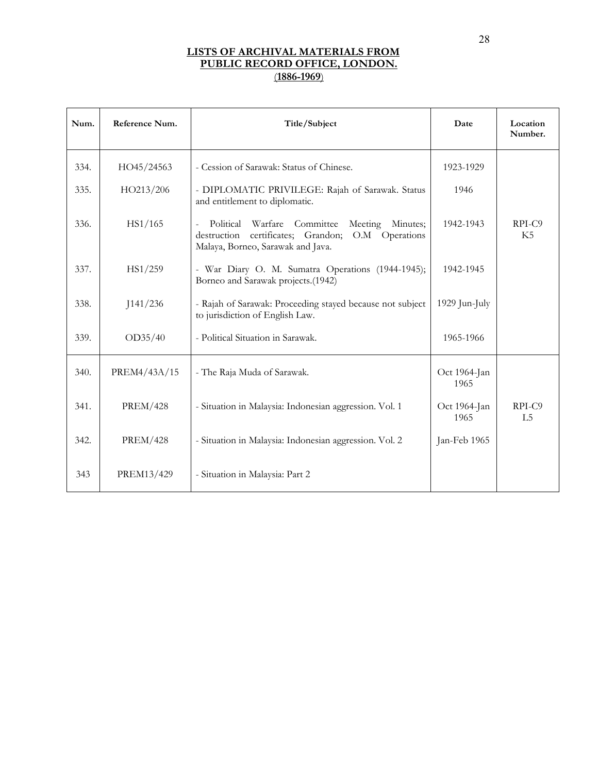| Num. | Reference Num.  | Title/Subject                                                                                                                                                     | Date                 | Location<br>Number.      |
|------|-----------------|-------------------------------------------------------------------------------------------------------------------------------------------------------------------|----------------------|--------------------------|
| 334. | HO45/24563      | - Cession of Sarawak: Status of Chinese.                                                                                                                          | 1923-1929            |                          |
| 335. | HO213/206       | - DIPLOMATIC PRIVILEGE: Rajah of Sarawak. Status<br>and entitlement to diplomatic.                                                                                | 1946                 |                          |
| 336. | HS1/165         | Political<br>Warfare<br>Committee<br>Meeting<br>Minutes;<br>$\equiv$<br>certificates; Grandon; O.M Operations<br>destruction<br>Malaya, Borneo, Sarawak and Java. | 1942-1943            | RPI-C9<br>K5             |
| 337. | HS1/259         | - War Diary O. M. Sumatra Operations (1944-1945);<br>Borneo and Sarawak projects.(1942)                                                                           | 1942-1945            |                          |
| 338. | J141/236        | - Rajah of Sarawak: Proceeding stayed because not subject<br>to jurisdiction of English Law.                                                                      | 1929 Jun-July        |                          |
| 339. | OD35/40         | - Political Situation in Sarawak.                                                                                                                                 | 1965-1966            |                          |
| 340. | PREM4/43A/15    | - The Raja Muda of Sarawak.                                                                                                                                       | Oct 1964-Jan<br>1965 |                          |
| 341. | <b>PREM/428</b> | - Situation in Malaysia: Indonesian aggression. Vol. 1                                                                                                            | Oct 1964-Jan<br>1965 | RPI-C9<br>L <sub>5</sub> |
| 342. | <b>PREM/428</b> | - Situation in Malaysia: Indonesian aggression. Vol. 2                                                                                                            | Jan-Feb 1965         |                          |
| 343  | PREM13/429      | - Situation in Malaysia: Part 2                                                                                                                                   |                      |                          |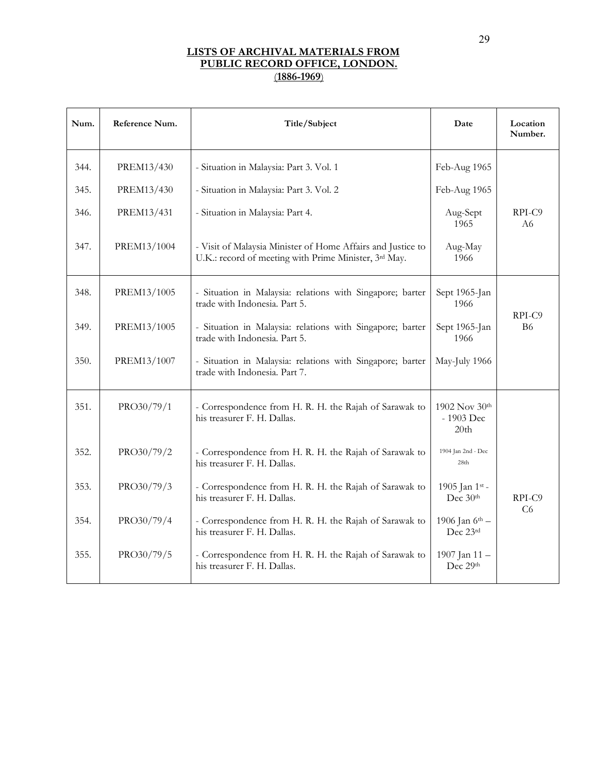| Num. | Reference Num. | Title/Subject                                                                                                        | Date                                | Location<br>Number.      |
|------|----------------|----------------------------------------------------------------------------------------------------------------------|-------------------------------------|--------------------------|
| 344. | PREM13/430     | - Situation in Malaysia: Part 3. Vol. 1                                                                              | Feb-Aug 1965                        |                          |
| 345. | PREM13/430     | - Situation in Malaysia: Part 3. Vol. 2                                                                              | Feb-Aug 1965                        |                          |
| 346. | PREM13/431     | - Situation in Malaysia: Part 4.                                                                                     | Aug-Sept<br>1965                    | RPI-C9<br>A6             |
| 347. | PREM13/1004    | - Visit of Malaysia Minister of Home Affairs and Justice to<br>U.K.: record of meeting with Prime Minister, 3rd May. | Aug-May<br>1966                     |                          |
| 348. | PREM13/1005    | - Situation in Malaysia: relations with Singapore; barter<br>trade with Indonesia. Part 5.                           | Sept 1965-Jan<br>1966               | RPI-C9                   |
| 349. | PREM13/1005    | - Situation in Malaysia: relations with Singapore; barter<br>trade with Indonesia. Part 5.                           | Sept 1965-Jan<br>1966               | <b>B6</b>                |
| 350. | PREM13/1007    | - Situation in Malaysia: relations with Singapore; barter<br>trade with Indonesia. Part 7.                           | May-July 1966                       |                          |
| 351. | PRO30/79/1     | - Correspondence from H. R. H. the Rajah of Sarawak to<br>his treasurer F. H. Dallas.                                | 1902 Nov 30th<br>- 1903 Dec<br>20th |                          |
| 352. | PRO30/79/2     | - Correspondence from H. R. H. the Rajah of Sarawak to<br>his treasurer F. H. Dallas.                                | 1904 Jan 2nd - Dec<br>28th          |                          |
| 353. | PRO30/79/3     | - Correspondence from H. R. H. the Rajah of Sarawak to<br>his treasurer F. H. Dallas.                                | 1905 Jan 1st -<br>Dec 30th          | RPI-C9<br>C <sub>6</sub> |
| 354. | PRO30/79/4     | - Correspondence from H. R. H. the Rajah of Sarawak to<br>his treasurer F. H. Dallas.                                | 1906 Jan 6th -<br>Dec 23rd          |                          |
| 355. | PRO30/79/5     | - Correspondence from H. R. H. the Rajah of Sarawak to<br>his treasurer F. H. Dallas.                                | 1907 Jan 11-<br>Dec 29th            |                          |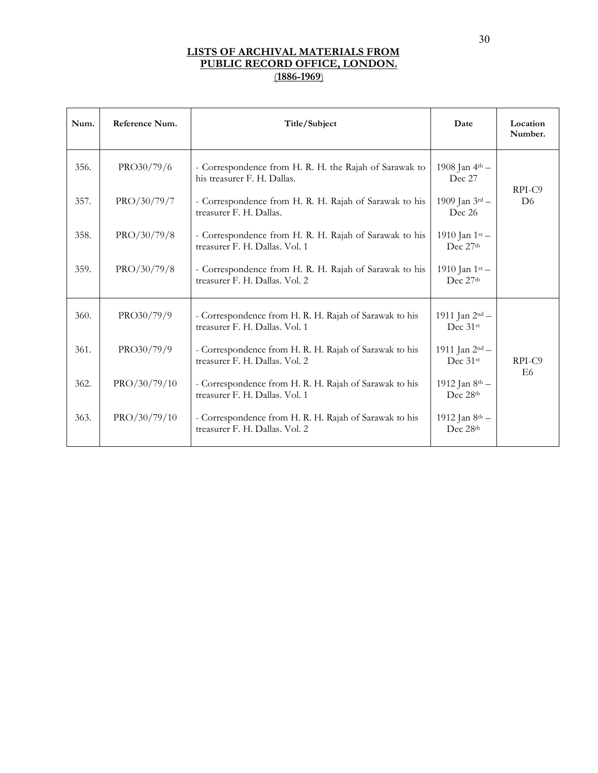| Num. | Reference Num. | Title/Subject                                                                            | Date                                          | Location<br>Number. |
|------|----------------|------------------------------------------------------------------------------------------|-----------------------------------------------|---------------------|
| 356. | PRO30/79/6     | - Correspondence from H. R. H. the Rajah of Sarawak to<br>his treasurer F. H. Dallas.    | 1908 Jan $4^{\text{th}}$ –<br>Dec 27          | RPI-C9              |
| 357. | PRO/30/79/7    | - Correspondence from H. R. H. Rajah of Sarawak to his<br>treasurer F. H. Dallas.        | 1909 Jan 3rd -<br>Dec 26                      | D <sub>6</sub>      |
| 358. | PRO/30/79/8    | - Correspondence from H. R. H. Rajah of Sarawak to his<br>treasurer F. H. Dallas. Vol. 1 | 1910 Jan $1^{st}$ –<br>Dec 27th               |                     |
| 359. | PRO/30/79/8    | - Correspondence from H. R. H. Rajah of Sarawak to his<br>treasurer F. H. Dallas. Vol. 2 | 1910 Jan 1st -<br>Dec 27th                    |                     |
| 360. | PRO30/79/9     | - Correspondence from H. R. H. Rajah of Sarawak to his<br>treasurer F. H. Dallas. Vol. 1 | 1911 Jan 2 <sup>nd</sup> -<br>Dec 31st        |                     |
| 361. | PRO30/79/9     | - Correspondence from H. R. H. Rajah of Sarawak to his<br>treasurer F. H. Dallas. Vol. 2 | 1911 Jan $2^{nd}$ –<br>Dec $31$ <sup>st</sup> | RPI-C9<br>E6        |
| 362. | PRO/30/79/10   | - Correspondence from H. R. H. Rajah of Sarawak to his<br>treasurer F. H. Dallas. Vol. 1 | 1912 Jan 8th -<br>Dec 28th                    |                     |
| 363. | PRO/30/79/10   | - Correspondence from H. R. H. Rajah of Sarawak to his<br>treasurer F. H. Dallas. Vol. 2 | 1912 Jan 8th -<br>Dec 28th                    |                     |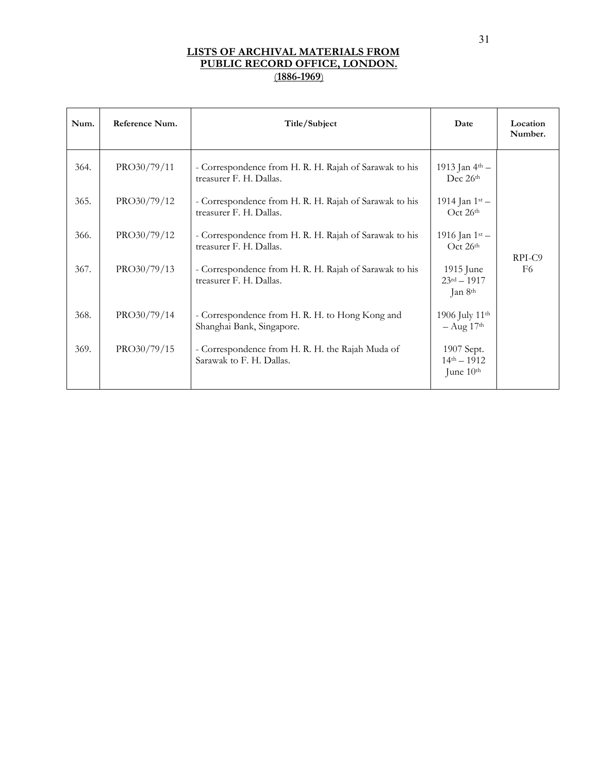| Num. | Reference Num. | Title/Subject                                                                     | Date                                                   | Location<br>Number. |
|------|----------------|-----------------------------------------------------------------------------------|--------------------------------------------------------|---------------------|
| 364. | PRO30/79/11    | - Correspondence from H. R. H. Rajah of Sarawak to his<br>treasurer F. H. Dallas. | 1913 Jan 4th -<br>Dec 26th                             |                     |
| 365. | PRO30/79/12    | - Correspondence from H. R. H. Rajah of Sarawak to his<br>treasurer F. H. Dallas. | 1914 Jan 1st -<br>Oct 26th                             |                     |
| 366. | PRO30/79/12    | - Correspondence from H. R. H. Rajah of Sarawak to his<br>treasurer F. H. Dallas. | 1916 Jan $1^{st}$ –<br>Oct 26th                        |                     |
| 367. | PRO30/79/13    | - Correspondence from H. R. H. Rajah of Sarawak to his<br>treasurer F. H. Dallas. | 1915 June<br>$23^{rd} - 1917$<br>Jan 8 <sup>th</sup>   | RPI-C9<br>F6        |
| 368. | PRO30/79/14    | - Correspondence from H. R. H. to Hong Kong and<br>Shanghai Bank, Singapore.      | 1906 July 11 <sup>th</sup><br>$-$ Aug 17 <sup>th</sup> |                     |
| 369. | PRO30/79/15    | - Correspondence from H. R. H. the Rajah Muda of<br>Sarawak to F. H. Dallas.      | 1907 Sept.<br>$14^{th} - 1912$<br>June 10th            |                     |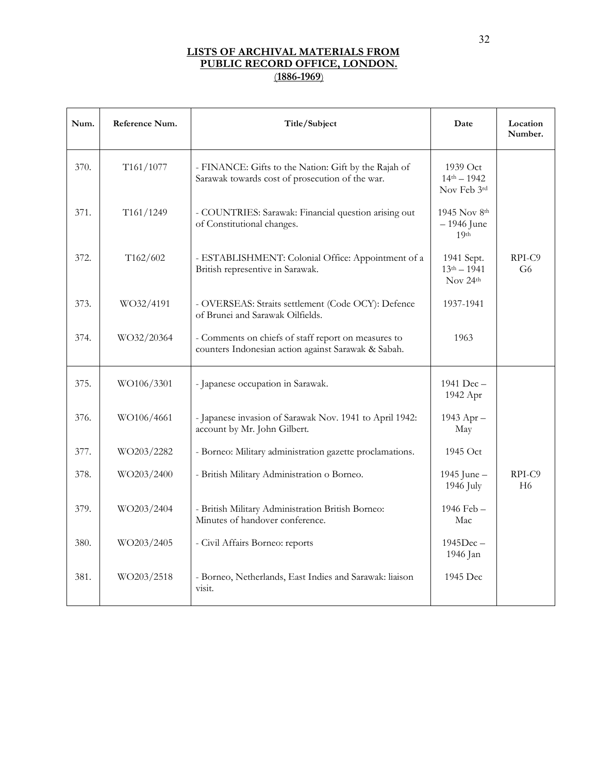| Num. | Reference Num. | Title/Subject                                                                                              | Date                                                 | Location<br>Number. |
|------|----------------|------------------------------------------------------------------------------------------------------------|------------------------------------------------------|---------------------|
| 370. | T161/1077      | - FINANCE: Gifts to the Nation: Gift by the Rajah of<br>Sarawak towards cost of prosecution of the war.    | $1939$ Oct<br>$14th - 1942$<br>Nov Feb 3rd           |                     |
| 371. | T161/1249      | - COUNTRIES: Sarawak: Financial question arising out<br>of Constitutional changes.                         | $1945$ Nov $8th$<br>$-1946$ June<br>19 <sup>th</sup> |                     |
| 372. | T162/602       | - ESTABLISHMENT: Colonial Office: Appointment of a<br>British representive in Sarawak.                     | 1941 Sept.<br>$13th - 1941$<br>Nov $24th$            | $RPI-C9$<br>G6      |
| 373. | WO32/4191      | - OVERSEAS: Straits settlement (Code OCY): Defence<br>of Brunei and Sarawak Oilfields.                     | 1937-1941                                            |                     |
| 374. | WO32/20364     | - Comments on chiefs of staff report on measures to<br>counters Indonesian action against Sarawak & Sabah. | 1963                                                 |                     |
| 375. | WO106/3301     | - Japanese occupation in Sarawak.                                                                          | 1941 $Dec -$<br>1942 Apr                             |                     |
| 376. | WO106/4661     | - Japanese invasion of Sarawak Nov. 1941 to April 1942:<br>account by Mr. John Gilbert.                    | 1943 Apr -<br>May                                    |                     |
| 377. | WO203/2282     | - Borneo: Military administration gazette proclamations.                                                   | 1945 Oct                                             |                     |
| 378. | WO203/2400     | - British Military Administration o Borneo.                                                                | 1945 June -<br>1946 July                             | RPI-C9<br>H6        |
| 379. | WO203/2404     | - British Military Administration British Borneo:<br>Minutes of handover conference.                       | 1946 Feb -<br>Mac                                    |                     |
| 380. | WO203/2405     | - Civil Affairs Borneo: reports                                                                            | $1945$ Dec $-$<br>1946 Jan                           |                     |
| 381. | WO203/2518     | - Borneo, Netherlands, East Indies and Sarawak: liaison<br>visit.                                          | 1945 Dec                                             |                     |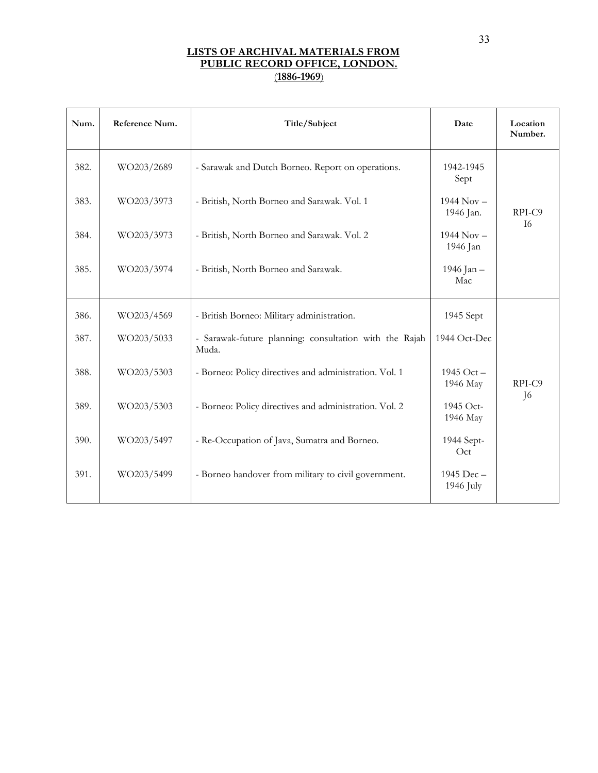| Num. | Reference Num. | Title/Subject                                                   | Date                        | Location<br>Number. |
|------|----------------|-----------------------------------------------------------------|-----------------------------|---------------------|
| 382. | WO203/2689     | - Sarawak and Dutch Borneo. Report on operations.               | 1942-1945<br>Sept           |                     |
| 383. | WO203/3973     | - British, North Borneo and Sarawak. Vol. 1                     | $1944$ Nov $-$<br>1946 Jan. | RPI-C9<br><b>I6</b> |
| 384. | WO203/3973     | - British, North Borneo and Sarawak. Vol. 2                     | $1944$ Nov -<br>1946 Jan    |                     |
| 385. | WO203/3974     | - British, North Borneo and Sarawak.                            | 1946 Jan -<br>Mac           |                     |
| 386. | WO203/4569     | - British Borneo: Military administration.                      | 1945 Sept                   |                     |
| 387. | WO203/5033     | - Sarawak-future planning: consultation with the Rajah<br>Muda. | 1944 Oct-Dec                |                     |
| 388. | WO203/5303     | - Borneo: Policy directives and administration. Vol. 1          | 1945 Oct $-$<br>1946 May    | RPI-C9              |
| 389. | WO203/5303     | - Borneo: Policy directives and administration. Vol. 2          | 1945 Oct-<br>1946 May       | J <sub>6</sub>      |
| 390. | WO203/5497     | - Re-Occupation of Java, Sumatra and Borneo.                    | 1944 Sept-<br>Oct           |                     |
| 391. | WO203/5499     | - Borneo handover from military to civil government.            | 1945 Dec -<br>1946 July     |                     |